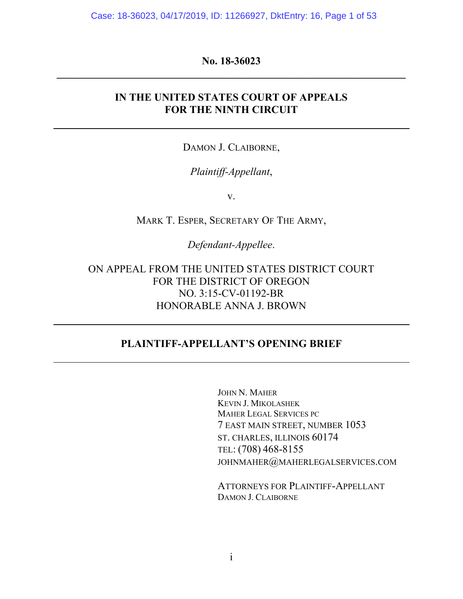Case: 18-36023, 04/17/2019, ID: 11266927, DktEntry: 16, Page 1 of 53

#### **No. 18-36023 \_\_\_\_\_\_\_\_\_\_\_\_\_\_\_\_\_\_\_\_\_\_\_\_\_\_\_\_\_\_\_\_\_\_\_\_\_\_\_\_\_\_\_\_\_\_\_\_\_\_\_\_\_\_\_\_\_\_\_\_\_\_\_\_\_\_**

## **IN THE UNITED STATES COURT OF APPEALS FOR THE NINTH CIRCUIT**

DAMON J. CLAIBORNE,

## *Plaintiff-Appellant*,

v.

MARK T. ESPER, SECRETARY OF THE ARMY,

*Defendant-Appellee*.

ON APPEAL FROM THE UNITED STATES DISTRICT COURT FOR THE DISTRICT OF OREGON NO. 3:15-CV-01192-BR HONORABLE ANNA J. BROWN

## **PLAINTIFF-APPELLANT'S OPENING BRIEF**

JOHN N. MAHER KEVIN J. MIKOLASHEK MAHER LEGAL SERVICES PC 7 EAST MAIN STREET, NUMBER 1053 ST. CHARLES, ILLINOIS 60174 TEL: (708) 468-8155 JOHNMAHER@[MAHERLEGALSERVICES](mailto:johnmaher@maherlegalservices.com).COM

ATTORNEYS FOR PLAINTIFF-APPELLANT DAMON J. CLAIBORNE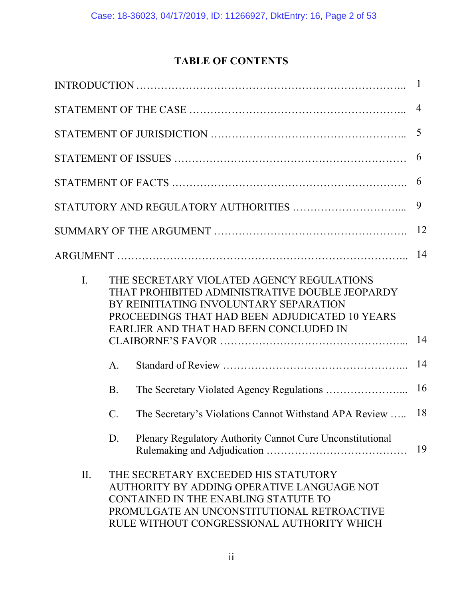# **TABLE OF CONTENTS**

|     |                 |                                                                                                                                                                                                                                   | $\mathbf{1}$   |
|-----|-----------------|-----------------------------------------------------------------------------------------------------------------------------------------------------------------------------------------------------------------------------------|----------------|
|     |                 |                                                                                                                                                                                                                                   | $\overline{4}$ |
|     |                 |                                                                                                                                                                                                                                   | 5              |
|     |                 |                                                                                                                                                                                                                                   | 6              |
|     |                 |                                                                                                                                                                                                                                   | 6              |
|     |                 |                                                                                                                                                                                                                                   | 9              |
|     |                 |                                                                                                                                                                                                                                   | 12             |
|     |                 |                                                                                                                                                                                                                                   | 14             |
| I.  |                 | THE SECRETARY VIOLATED AGENCY REGULATIONS<br>THAT PROHIBITED ADMINISTRATIVE DOUBLE JEOPARDY<br>BY REINITIATING INVOLUNTARY SEPARATION<br>PROCEEDINGS THAT HAD BEEN ADJUDICATED 10 YEARS<br>EARLIER AND THAT HAD BEEN CONCLUDED IN | 14             |
|     | A.              |                                                                                                                                                                                                                                   | 14             |
|     | <b>B.</b>       |                                                                                                                                                                                                                                   | 16             |
|     | $\mathcal{C}$ . | The Secretary's Violations Cannot Withstand APA Review                                                                                                                                                                            | 18             |
|     | D.              | Plenary Regulatory Authority Cannot Cure Unconstitutional                                                                                                                                                                         | 19             |
| II. |                 | THE SECRETARY EXCEEDED HIS STATUTORY<br>AUTHORITY BY ADDING OPERATIVE LANGUAGE NOT<br>CONTAINED IN THE ENABLING STATUTE TO<br>PROMULGATE AN UNCONSTITUTIONAL RETROACTIVE<br>RULE WITHOUT CONGRESSIONAL AUTHORITY WHICH            |                |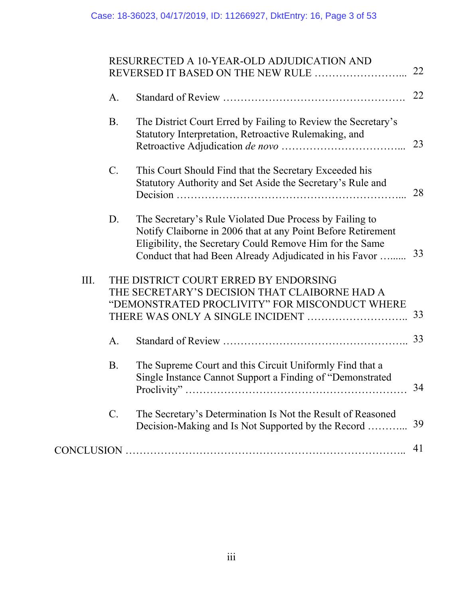| RESURRECTED A 10-YEAR-OLD ADJUDICATION AND |  |
|--------------------------------------------|--|
|                                            |  |

|      | A.        |                                                                                                                                                                                                                                               | 22 |
|------|-----------|-----------------------------------------------------------------------------------------------------------------------------------------------------------------------------------------------------------------------------------------------|----|
|      | <b>B.</b> | The District Court Erred by Failing to Review the Secretary's<br>Statutory Interpretation, Retroactive Rulemaking, and                                                                                                                        | 23 |
|      | $C$ .     | This Court Should Find that the Secretary Exceeded his<br>Statutory Authority and Set Aside the Secretary's Rule and                                                                                                                          | 28 |
|      | D.        | The Secretary's Rule Violated Due Process by Failing to<br>Notify Claiborne in 2006 that at any Point Before Retirement<br>Eligibility, the Secretary Could Remove Him for the Same<br>Conduct that had Been Already Adjudicated in his Favor | 33 |
| III. |           | THE DISTRICT COURT ERRED BY ENDORSING<br>THE SECRETARY'S DECISION THAT CLAIBORNE HAD A<br>"DEMONSTRATED PROCLIVITY" FOR MISCONDUCT WHERE                                                                                                      | 33 |
|      | A.        |                                                                                                                                                                                                                                               | 33 |
|      | <b>B.</b> | The Supreme Court and this Circuit Uniformly Find that a<br>Single Instance Cannot Support a Finding of "Demonstrated                                                                                                                         | 34 |
|      | $C$ .     | The Secretary's Determination Is Not the Result of Reasoned<br>Decision-Making and Is Not Supported by the Record                                                                                                                             | 39 |
|      |           |                                                                                                                                                                                                                                               | 41 |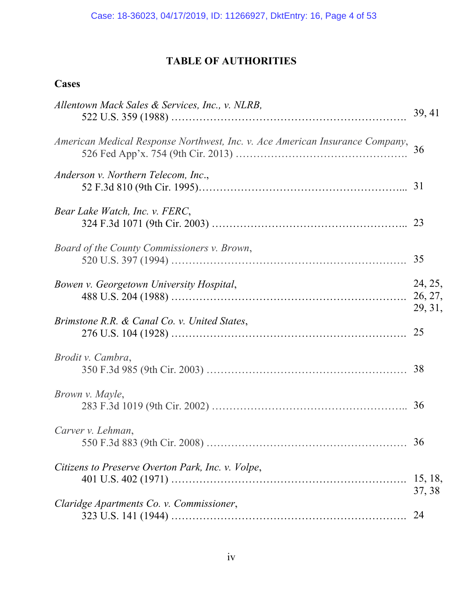# **TABLE OF AUTHORITIES**

# **Cases**

| Allentown Mack Sales & Services, Inc., v. NLRB,                              | 39, 41            |
|------------------------------------------------------------------------------|-------------------|
| American Medical Response Northwest, Inc. v. Ace American Insurance Company, | 36                |
| Anderson v. Northern Telecom, Inc.,                                          |                   |
| Bear Lake Watch, Inc. v. FERC,                                               |                   |
| Board of the County Commissioners v. Brown,                                  | 35                |
| Bowen v. Georgetown University Hospital,                                     | 24, 25,           |
| Brimstone R.R. & Canal Co. v. United States,                                 | 29, 31,           |
| Brodit v. Cambra,                                                            |                   |
| Brown v. Mayle,                                                              |                   |
| Carver v. Lehman,                                                            | 36                |
| Citizens to Preserve Overton Park, Inc. v. Volpe,                            | 15, 18,<br>37, 38 |
| Claridge Apartments Co. v. Commissioner,                                     | 24                |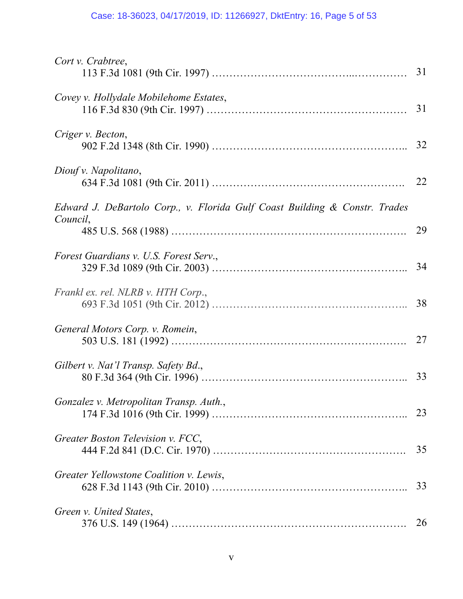## Case: 18-36023, 04/17/2019, ID: 11266927, DktEntry: 16, Page 5 of 53

| Cort v. Crabtree,                                                                      | 31 |
|----------------------------------------------------------------------------------------|----|
| Covey v. Hollydale Mobilehome Estates,                                                 |    |
| Criger v. Becton,                                                                      |    |
| Diouf v. Napolitano,                                                                   | 22 |
| Edward J. DeBartolo Corp., v. Florida Gulf Coast Building & Constr. Trades<br>Council, | 29 |
| Forest Guardians v. U.S. Forest Serv.,                                                 |    |
| Frankl ex. rel. NLRB v. HTH Corp.,                                                     | 38 |
| General Motors Corp. v. Romein,                                                        | 27 |
| Gilbert v. Nat'l Transp. Safety Bd.,                                                   | 33 |
| Gonzalez v. Metropolitan Transp. Auth.,                                                | 23 |
| Greater Boston Television v. FCC,                                                      | 35 |
| Greater Yellowstone Coalition v. Lewis,                                                | 33 |
| Green v. United States,                                                                | 26 |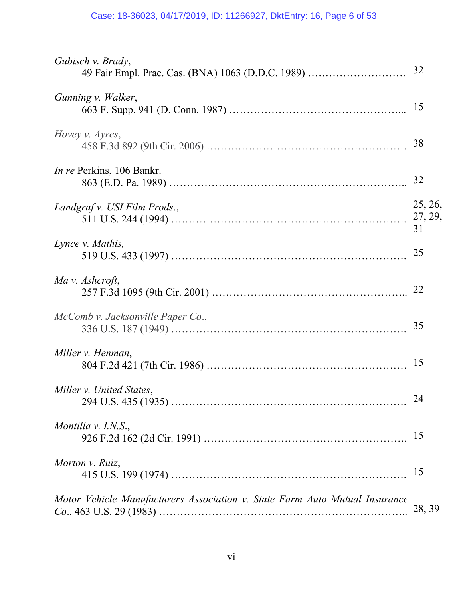## Case: 18-36023, 04/17/2019, ID: 11266927, DktEntry: 16, Page 6 of 53

| Gubisch v. Brady,<br>49 Fair Empl. Prac. Cas. (BNA) 1063 (D.D.C. 1989)      | 32            |
|-----------------------------------------------------------------------------|---------------|
| Gunning v. Walker,                                                          | 15            |
| Hovey v. Ayres,                                                             | 38            |
| <i>In re</i> Perkins, 106 Bankr.                                            | 32            |
| Landgraf v. USI Film Prods.,                                                | 25, 26,<br>31 |
| Lynce v. Mathis,                                                            | 25            |
| Ma v. Ashcroft,                                                             |               |
| McComb v. Jacksonville Paper Co.,                                           | 35            |
| Miller v. Henman,                                                           | 15            |
| Miller v. United States,                                                    | 24            |
| Montilla v. I.N.S.,                                                         | 15            |
| Morton v. Ruiz,                                                             | 15            |
| Motor Vehicle Manufacturers Association v. State Farm Auto Mutual Insurance | 28, 39        |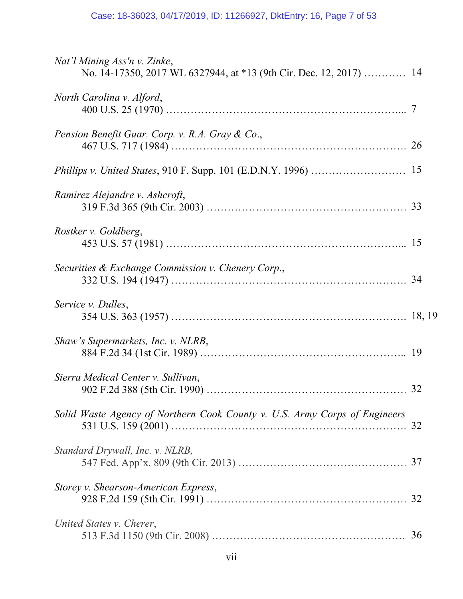| Nat'l Mining Ass'n v. Zinke,<br>No. 14-17350, 2017 WL 6327944, at *13 (9th Cir. Dec. 12, 2017)  14 |    |
|----------------------------------------------------------------------------------------------------|----|
| North Carolina v. Alford,                                                                          |    |
| Pension Benefit Guar. Corp. v. R.A. Gray & Co.,                                                    | 26 |
|                                                                                                    |    |
| Ramirez Alejandre v. Ashcroft,                                                                     |    |
| Rostker v. Goldberg,                                                                               |    |
| Securities & Exchange Commission v. Chenery Corp.,                                                 |    |
| Service v. Dulles,                                                                                 |    |
| Shaw's Supermarkets, Inc. v. NLRB,                                                                 |    |
| Sierra Medical Center v. Sullivan,                                                                 |    |
| Solid Waste Agency of Northern Cook County v. U.S. Army Corps of Engineers                         |    |
| Standard Drywall, Inc. v. NLRB,                                                                    |    |
| Storey v. Shearson-American Express,                                                               |    |
| United States v. Cherer,                                                                           | 36 |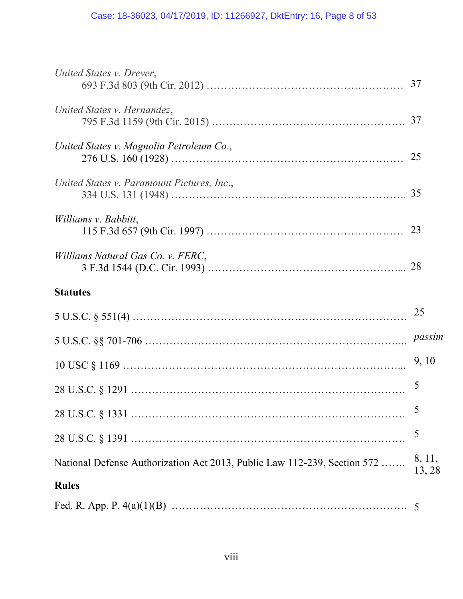#### Case: 18-36023, 04/17/2019, ID: 11266927, DktEntry: 16, Page 8 of 53

| United States v. Dreyer,                                                 |                  |
|--------------------------------------------------------------------------|------------------|
| United States v. Hernandez,                                              |                  |
|                                                                          |                  |
| United States v. Magnolia Petroleum Co.,                                 | 25               |
| United States v. Paramount Pictures, Inc.,                               |                  |
| Williams v. Babbitt,                                                     |                  |
| Williams Natural Gas Co. v. FERC,                                        |                  |
| <b>Statutes</b>                                                          |                  |
|                                                                          | 25               |
|                                                                          | passim           |
|                                                                          | 9, 10            |
|                                                                          | 5                |
|                                                                          | 5                |
|                                                                          | 5                |
| National Defense Authorization Act 2013, Public Law 112-239, Section 572 | 8, 11,<br>13, 28 |
| <b>Rules</b>                                                             |                  |
| Ead D Ann D $A(\rho)(1)(R)$                                              |                  |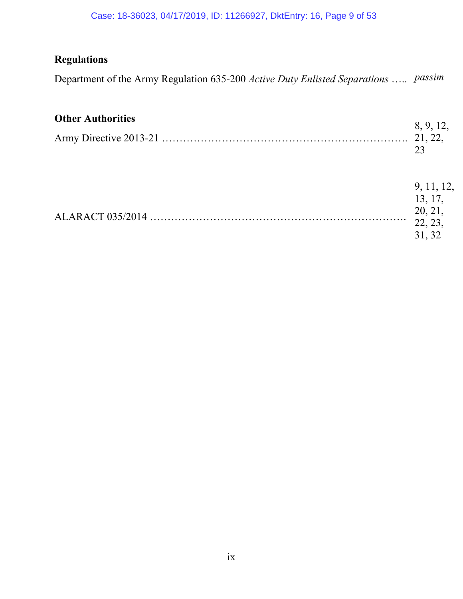#### Case: 18-36023, 04/17/2019, ID: 11266927, DktEntry: 16, Page 9 of 53

# **Regulations**

Department of the Army Regulation 635-200 *Active Duty Enlisted Separations* ….. *passim*

# **Other Authorities**

| <b>Other Authorities</b> | 8, 9, 12, |
|--------------------------|-----------|
|                          |           |
|                          |           |

| 9, 11, 12, |
|------------|
| 13, 17,    |
| 20.21      |
| 22, 23,    |
| 31, 32     |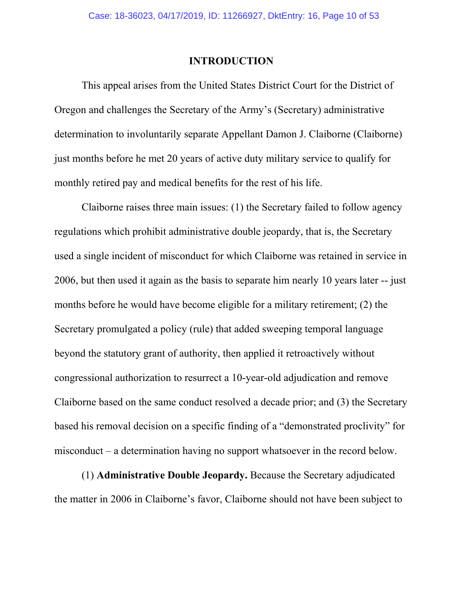#### **INTRODUCTION**

This appeal arises from the United States District Court for the District of Oregon and challenges the Secretary of the Army's (Secretary) administrative determination to involuntarily separate Appellant Damon J. Claiborne (Claiborne) just months before he met 20 years of active duty military service to qualify for monthly retired pay and medical benefits for the rest of his life.

Claiborne raises three main issues: (1) the Secretary failed to follow agency regulations which prohibit administrative double jeopardy, that is, the Secretary used a single incident of misconduct for which Claiborne was retained in service in 2006, but then used it again as the basis to separate him nearly 10 years later -- just months before he would have become eligible for a military retirement; (2) the Secretary promulgated a policy (rule) that added sweeping temporal language beyond the statutory grant of authority, then applied it retroactively without congressional authorization to resurrect a 10-year-old adjudication and remove Claiborne based on the same conduct resolved a decade prior; and (3) the Secretary based his removal decision on a specific finding of a "demonstrated proclivity" for misconduct – a determination having no support whatsoever in the record below.

(1) **Administrative Double Jeopardy.** Because the Secretary adjudicated the matter in 2006 in Claiborne's favor, Claiborne should not have been subject to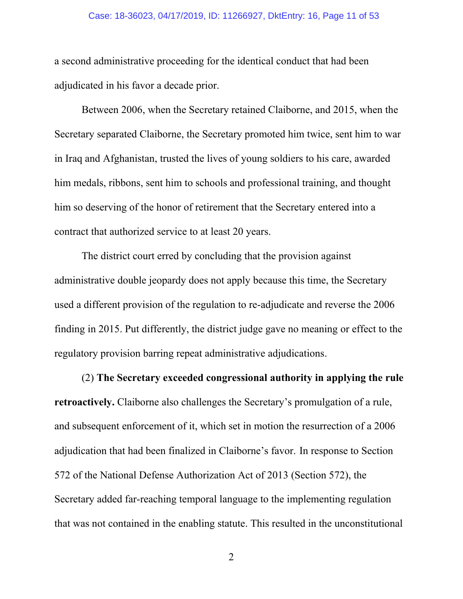#### Case: 18-36023, 04/17/2019, ID: 11266927, DktEntry: 16, Page 11 of 53

a second administrative proceeding for the identical conduct that had been adjudicated in his favor a decade prior.

Between 2006, when the Secretary retained Claiborne, and 2015, when the Secretary separated Claiborne, the Secretary promoted him twice, sent him to war in Iraq and Afghanistan, trusted the lives of young soldiers to his care, awarded him medals, ribbons, sent him to schools and professional training, and thought him so deserving of the honor of retirement that the Secretary entered into a contract that authorized service to at least 20 years.

The district court erred by concluding that the provision against administrative double jeopardy does not apply because this time, the Secretary used a different provision of the regulation to re-adjudicate and reverse the 2006 finding in 2015. Put differently, the district judge gave no meaning or effect to the regulatory provision barring repeat administrative adjudications.

(2) **The Secretary exceeded congressional authority in applying the rule retroactively.** Claiborne also challenges the Secretary's promulgation of a rule, and subsequent enforcement of it, which set in motion the resurrection of a 2006 adjudication that had been finalized in Claiborne's favor. In response to Section 572 of the National Defense Authorization Act of 2013 (Section 572), the Secretary added far-reaching temporal language to the implementing regulation that was not contained in the enabling statute. This resulted in the unconstitutional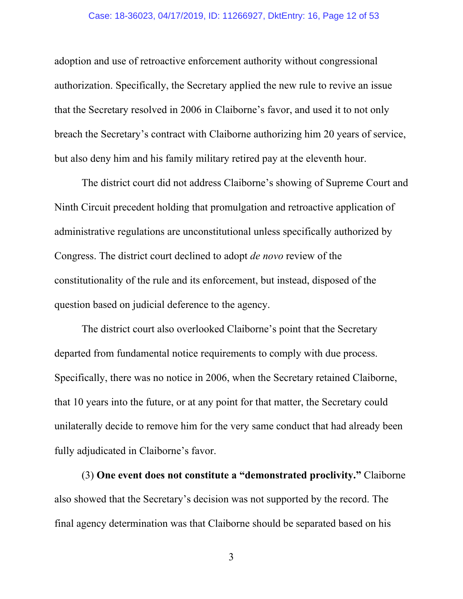#### Case: 18-36023, 04/17/2019, ID: 11266927, DktEntry: 16, Page 12 of 53

adoption and use of retroactive enforcement authority without congressional authorization. Specifically, the Secretary applied the new rule to revive an issue that the Secretary resolved in 2006 in Claiborne's favor, and used it to not only breach the Secretary's contract with Claiborne authorizing him 20 years of service, but also deny him and his family military retired pay at the eleventh hour.

The district court did not address Claiborne's showing of Supreme Court and Ninth Circuit precedent holding that promulgation and retroactive application of administrative regulations are unconstitutional unless specifically authorized by Congress. The district court declined to adopt *de novo* review of the constitutionality of the rule and its enforcement, but instead, disposed of the question based on judicial deference to the agency.

The district court also overlooked Claiborne's point that the Secretary departed from fundamental notice requirements to comply with due process. Specifically, there was no notice in 2006, when the Secretary retained Claiborne, that 10 years into the future, or at any point for that matter, the Secretary could unilaterally decide to remove him for the very same conduct that had already been fully adjudicated in Claiborne's favor.

(3) **One event does not constitute a "demonstrated proclivity."** Claiborne also showed that the Secretary's decision was not supported by the record. The final agency determination was that Claiborne should be separated based on his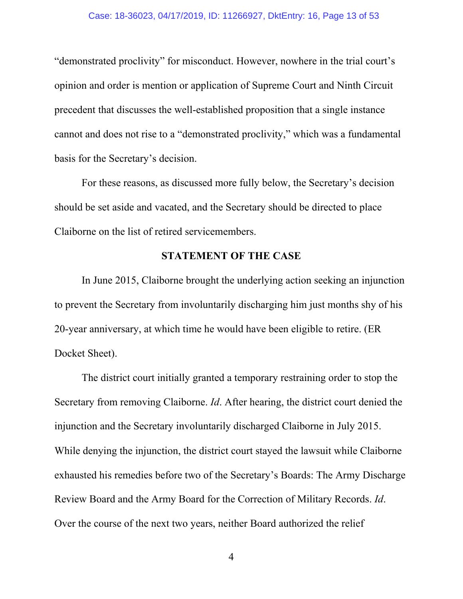"demonstrated proclivity" for misconduct. However, nowhere in the trial court's opinion and order is mention or application of Supreme Court and Ninth Circuit precedent that discusses the well-established proposition that a single instance cannot and does not rise to a "demonstrated proclivity," which was a fundamental basis for the Secretary's decision.

For these reasons, as discussed more fully below, the Secretary's decision should be set aside and vacated, and the Secretary should be directed to place Claiborne on the list of retired servicemembers.

## **STATEMENT OF THE CASE**

In June 2015, Claiborne brought the underlying action seeking an injunction to prevent the Secretary from involuntarily discharging him just months shy of his 20-year anniversary, at which time he would have been eligible to retire. (ER Docket Sheet).

The district court initially granted a temporary restraining order to stop the Secretary from removing Claiborne. *Id*. After hearing, the district court denied the injunction and the Secretary involuntarily discharged Claiborne in July 2015. While denying the injunction, the district court stayed the lawsuit while Claiborne exhausted his remedies before two of the Secretary's Boards: The Army Discharge Review Board and the Army Board for the Correction of Military Records. *Id*. Over the course of the next two years, neither Board authorized the relief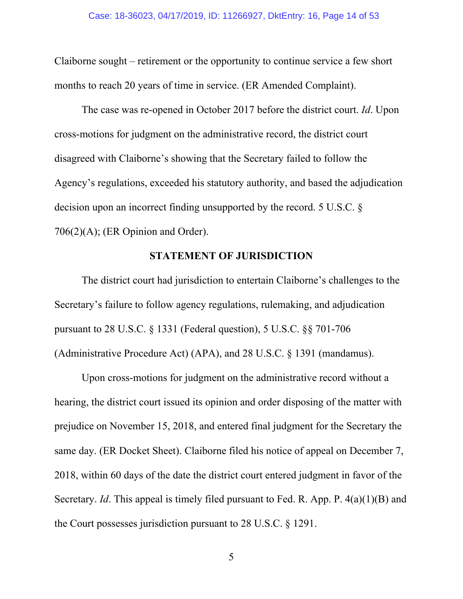Claiborne sought – retirement or the opportunity to continue service a few short months to reach 20 years of time in service. (ER Amended Complaint).

The case was re-opened in October 2017 before the district court. *Id*. Upon cross-motions for judgment on the administrative record, the district court disagreed with Claiborne's showing that the Secretary failed to follow the Agency's regulations, exceeded his statutory authority, and based the adjudication decision upon an incorrect finding unsupported by the record. 5 U.S.C. § 706(2)(A); (ER Opinion and Order).

## **STATEMENT OF JURISDICTION**

The district court had jurisdiction to entertain Claiborne's challenges to the Secretary's failure to follow agency regulations, rulemaking, and adjudication pursuant to 28 U.S.C. § 1331 (Federal question), 5 U.S.C. §§ 701-706 (Administrative Procedure Act) (APA), and 28 U.S.C. § 1391 (mandamus).

Upon cross-motions for judgment on the administrative record without a hearing, the district court issued its opinion and order disposing of the matter with prejudice on November 15, 2018, and entered final judgment for the Secretary the same day. (ER Docket Sheet). Claiborne filed his notice of appeal on December 7, 2018, within 60 days of the date the district court entered judgment in favor of the Secretary. *Id*. This appeal is timely filed pursuant to Fed. R. App. P. 4(a)(1)(B) and the Court possesses jurisdiction pursuant to 28 U.S.C. § 1291.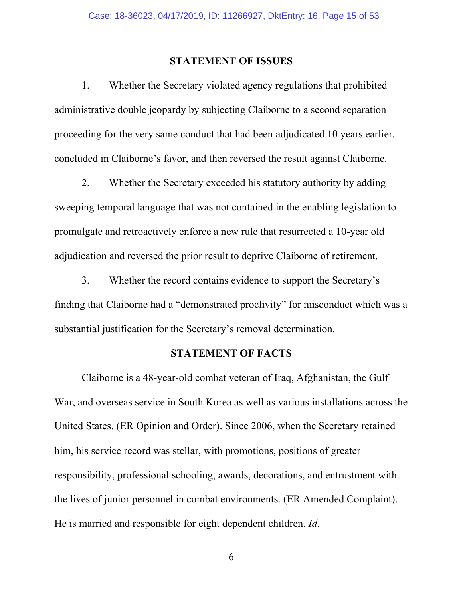#### **STATEMENT OF ISSUES**

1. Whether the Secretary violated agency regulations that prohibited administrative double jeopardy by subjecting Claiborne to a second separation proceeding for the very same conduct that had been adjudicated 10 years earlier, concluded in Claiborne's favor, and then reversed the result against Claiborne.

2. Whether the Secretary exceeded his statutory authority by adding sweeping temporal language that was not contained in the enabling legislation to promulgate and retroactively enforce a new rule that resurrected a 10-year old adjudication and reversed the prior result to deprive Claiborne of retirement.

3. Whether the record contains evidence to support the Secretary's finding that Claiborne had a "demonstrated proclivity" for misconduct which was a substantial justification for the Secretary's removal determination.

#### **STATEMENT OF FACTS**

Claiborne is a 48-year-old combat veteran of Iraq, Afghanistan, the Gulf War, and overseas service in South Korea as well as various installations across the United States. (ER Opinion and Order). Since 2006, when the Secretary retained him, his service record was stellar, with promotions, positions of greater responsibility, professional schooling, awards, decorations, and entrustment with the lives of junior personnel in combat environments. (ER Amended Complaint). He is married and responsible for eight dependent children. *Id*.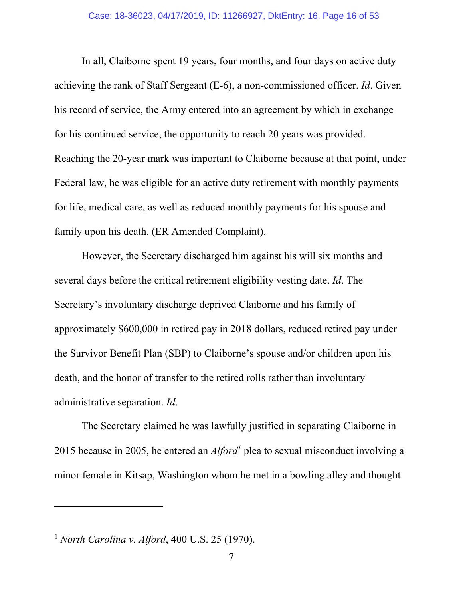In all, Claiborne spent 19 years, four months, and four days on active duty achieving the rank of Staff Sergeant (E-6), a non-commissioned officer. *Id*. Given his record of service, the Army entered into an agreement by which in exchange for his continued service, the opportunity to reach 20 years was provided. Reaching the 20-year mark was important to Claiborne because at that point, under Federal law, he was eligible for an active duty retirement with monthly payments for life, medical care, as well as reduced monthly payments for his spouse and family upon his death. (ER Amended Complaint).

However, the Secretary discharged him against his will six months and several days before the critical retirement eligibility vesting date. *Id*. The Secretary's involuntary discharge deprived Claiborne and his family of approximately \$600,000 in retired pay in 2018 dollars, reduced retired pay under the Survivor Benefit Plan (SBP) to Claiborne's spouse and/or children upon his death, and the honor of transfer to the retired rolls rather than involuntary administrative separation. *Id*.

The Secretary claimed he was lawfully justified in separating Claiborne in 2015 because in 2005, he entered an *Alford<sup>1</sup>* plea to sexual misconduct involving a minor female in Kitsap, Washington whom he met in a bowling alley and thought

 $\overline{a}$ 

<sup>1</sup> *North Carolina v. Alford*, 400 U.S. 25 (1970).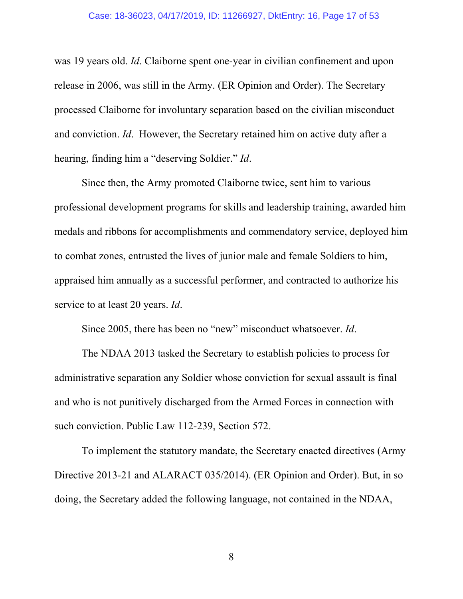was 19 years old. *Id*. Claiborne spent one-year in civilian confinement and upon release in 2006, was still in the Army. (ER Opinion and Order). The Secretary processed Claiborne for involuntary separation based on the civilian misconduct and conviction. *Id*. However, the Secretary retained him on active duty after a hearing, finding him a "deserving Soldier." *Id*.

Since then, the Army promoted Claiborne twice, sent him to various professional development programs for skills and leadership training, awarded him medals and ribbons for accomplishments and commendatory service, deployed him to combat zones, entrusted the lives of junior male and female Soldiers to him, appraised him annually as a successful performer, and contracted to authorize his service to at least 20 years. *Id*.

Since 2005, there has been no "new" misconduct whatsoever. *Id*.

The NDAA 2013 tasked the Secretary to establish policies to process for administrative separation any Soldier whose conviction for sexual assault is final and who is not punitively discharged from the Armed Forces in connection with such conviction. Public Law 112-239, Section 572.

To implement the statutory mandate, the Secretary enacted directives (Army Directive 2013-21 and ALARACT 035/2014). (ER Opinion and Order). But, in so doing, the Secretary added the following language, not contained in the NDAA,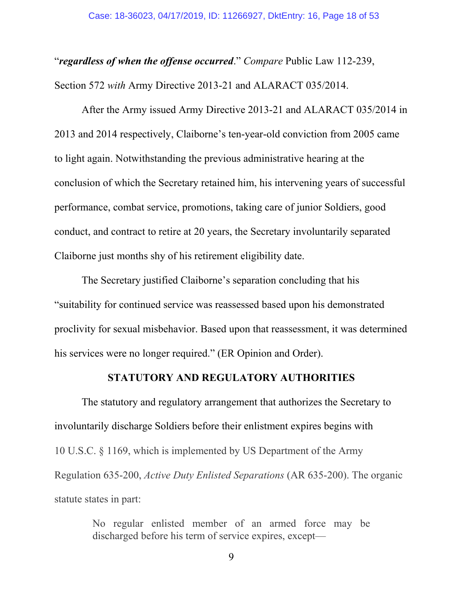"*regardless of when the offense occurred*." *Compare* Public Law 112-239, Section 572 *with* Army Directive 2013-21 and ALARACT 035/2014.

After the Army issued Army Directive 2013-21 and ALARACT 035/2014 in 2013 and 2014 respectively, Claiborne's ten-year-old conviction from 2005 came to light again. Notwithstanding the previous administrative hearing at the conclusion of which the Secretary retained him, his intervening years of successful performance, combat service, promotions, taking care of junior Soldiers, good conduct, and contract to retire at 20 years, the Secretary involuntarily separated Claiborne just months shy of his retirement eligibility date.

The Secretary justified Claiborne's separation concluding that his "suitability for continued service was reassessed based upon his demonstrated proclivity for sexual misbehavior. Based upon that reassessment, it was determined his services were no longer required." (ER Opinion and Order).

#### **STATUTORY AND REGULATORY AUTHORITIES**

The statutory and regulatory arrangement that authorizes the Secretary to involuntarily discharge Soldiers before their enlistment expires begins with 10 U.S.C. § 1169, which is implemented by US Department of the Army Regulation 635-200, *Active Duty Enlisted Separations* (AR 635-200). The organic statute states in part:

> No regular enlisted member of an armed force may be discharged before his term of service expires, except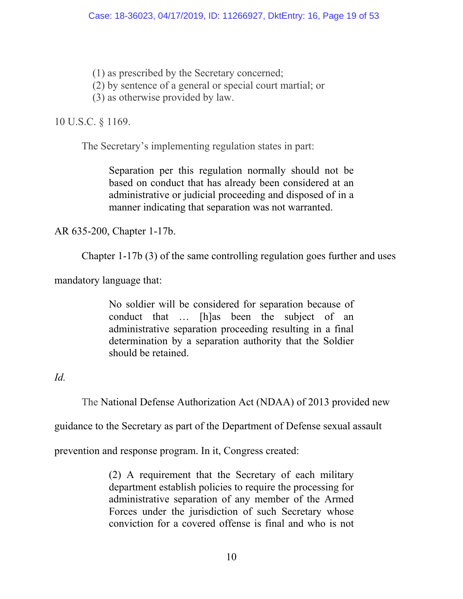(1) as prescribed by the Secretary concerned;

(2) by sentence of a general or special court martial; or

(3) as otherwise provided by law.

## 10 U.S.C. § 1169.

The Secretary's implementing regulation states in part:

Separation per this regulation normally should not be based on conduct that has already been considered at an administrative or judicial proceeding and disposed of in a manner indicating that separation was not warranted.

AR 635-200, Chapter 1-17b.

Chapter 1-17b (3) of the same controlling regulation goes further and uses

mandatory language that:

No soldier will be considered for separation because of conduct that … [h]as been the subject of an administrative separation proceeding resulting in a final determination by a separation authority that the Soldier should be retained.

*Id.* 

The National Defense Authorization Act (NDAA) of 2013 provided new

guidance to the Secretary as part of the Department of Defense sexual assault

prevention and response program. In it, Congress created:

(2) A requirement that the Secretary of each military department establish policies to require the processing for administrative separation of any member of the Armed Forces under the jurisdiction of such Secretary whose conviction for a covered offense is final and who is not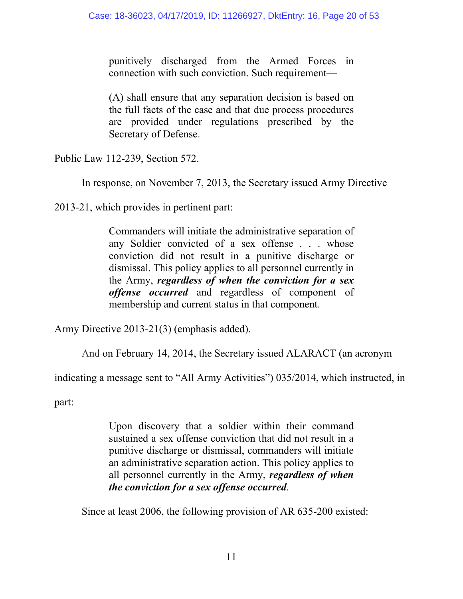punitively discharged from the Armed Forces in connection with such conviction. Such requirement—

(A) shall ensure that any separation decision is based on the full facts of the case and that due process procedures are provided under regulations prescribed by the Secretary of Defense.

Public Law 112-239, Section 572.

In response, on November 7, 2013, the Secretary issued Army Directive

2013-21, which provides in pertinent part:

Commanders will initiate the administrative separation of any Soldier convicted of a sex offense . . . whose conviction did not result in a punitive discharge or dismissal. This policy applies to all personnel currently in the Army, *regardless of when the conviction for a sex offense occurred* and regardless of component of membership and current status in that component.

Army Directive 2013-21(3) (emphasis added).

And on February 14, 2014, the Secretary issued ALARACT (an acronym

indicating a message sent to "All Army Activities") 035/2014, which instructed, in

part:

Upon discovery that a soldier within their command sustained a sex offense conviction that did not result in a punitive discharge or dismissal, commanders will initiate an administrative separation action. This policy applies to all personnel currently in the Army, *regardless of when the conviction for a sex offense occurred*.

Since at least 2006, the following provision of AR 635-200 existed: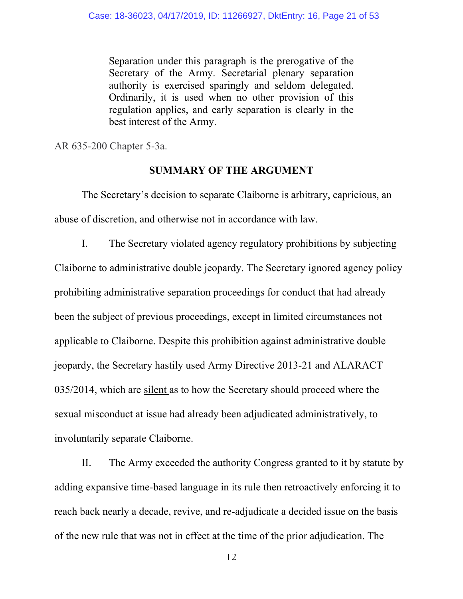Separation under this paragraph is the prerogative of the Secretary of the Army. Secretarial plenary separation authority is exercised sparingly and seldom delegated. Ordinarily, it is used when no other provision of this regulation applies, and early separation is clearly in the best interest of the Army.

AR 635-200 Chapter 5-3a.

#### **SUMMARY OF THE ARGUMENT**

The Secretary's decision to separate Claiborne is arbitrary, capricious, an abuse of discretion, and otherwise not in accordance with law.

I. The Secretary violated agency regulatory prohibitions by subjecting Claiborne to administrative double jeopardy. The Secretary ignored agency policy prohibiting administrative separation proceedings for conduct that had already been the subject of previous proceedings, except in limited circumstances not applicable to Claiborne. Despite this prohibition against administrative double jeopardy, the Secretary hastily used Army Directive 2013-21 and ALARACT 035/2014, which are silent as to how the Secretary should proceed where the sexual misconduct at issue had already been adjudicated administratively, to involuntarily separate Claiborne.

II. The Army exceeded the authority Congress granted to it by statute by adding expansive time-based language in its rule then retroactively enforcing it to reach back nearly a decade, revive, and re-adjudicate a decided issue on the basis of the new rule that was not in effect at the time of the prior adjudication. The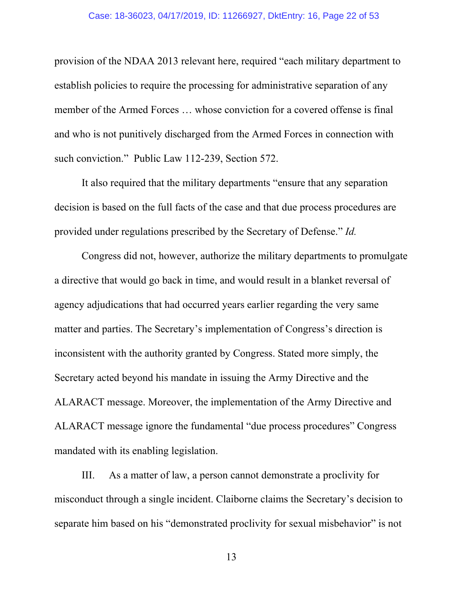provision of the NDAA 2013 relevant here, required "each military department to establish policies to require the processing for administrative separation of any member of the Armed Forces … whose conviction for a covered offense is final and who is not punitively discharged from the Armed Forces in connection with such conviction." Public Law 112-239, Section 572.

It also required that the military departments "ensure that any separation decision is based on the full facts of the case and that due process procedures are provided under regulations prescribed by the Secretary of Defense." *Id.*

Congress did not, however, authorize the military departments to promulgate a directive that would go back in time, and would result in a blanket reversal of agency adjudications that had occurred years earlier regarding the very same matter and parties. The Secretary's implementation of Congress's direction is inconsistent with the authority granted by Congress. Stated more simply, the Secretary acted beyond his mandate in issuing the Army Directive and the ALARACT message. Moreover, the implementation of the Army Directive and ALARACT message ignore the fundamental "due process procedures" Congress mandated with its enabling legislation.

III. As a matter of law, a person cannot demonstrate a proclivity for misconduct through a single incident. Claiborne claims the Secretary's decision to separate him based on his "demonstrated proclivity for sexual misbehavior" is not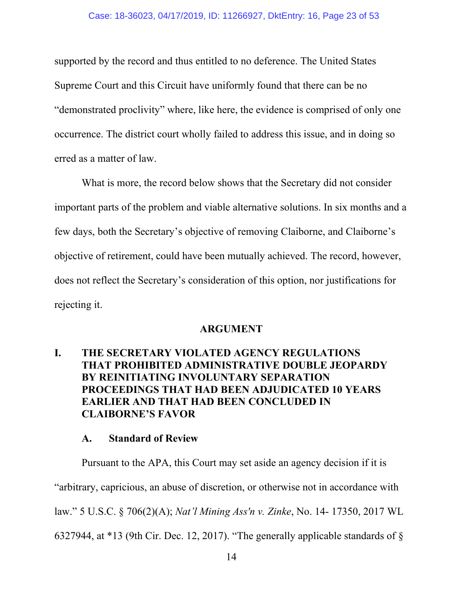supported by the record and thus entitled to no deference. The United States Supreme Court and this Circuit have uniformly found that there can be no "demonstrated proclivity" where, like here, the evidence is comprised of only one occurrence. The district court wholly failed to address this issue, and in doing so erred as a matter of law.

What is more, the record below shows that the Secretary did not consider important parts of the problem and viable alternative solutions. In six months and a few days, both the Secretary's objective of removing Claiborne, and Claiborne's objective of retirement, could have been mutually achieved. The record, however, does not reflect the Secretary's consideration of this option, nor justifications for rejecting it.

#### **ARGUMENT**

## **I. THE SECRETARY VIOLATED AGENCY REGULATIONS THAT PROHIBITED ADMINISTRATIVE DOUBLE JEOPARDY BY REINITIATING INVOLUNTARY SEPARATION PROCEEDINGS THAT HAD BEEN ADJUDICATED 10 YEARS EARLIER AND THAT HAD BEEN CONCLUDED IN CLAIBORNE'S FAVOR**

#### **A. Standard of Review**

Pursuant to the APA, this Court may set aside an agency decision if it is "arbitrary, capricious, an abuse of discretion, or otherwise not in accordance with law." 5 U.S.C. § 706(2)(A); *Nat'l Mining Ass'n v. Zinke*, No. 14- 17350, 2017 WL

6327944, at \*13 (9th Cir. Dec. 12, 2017). "The generally applicable standards of §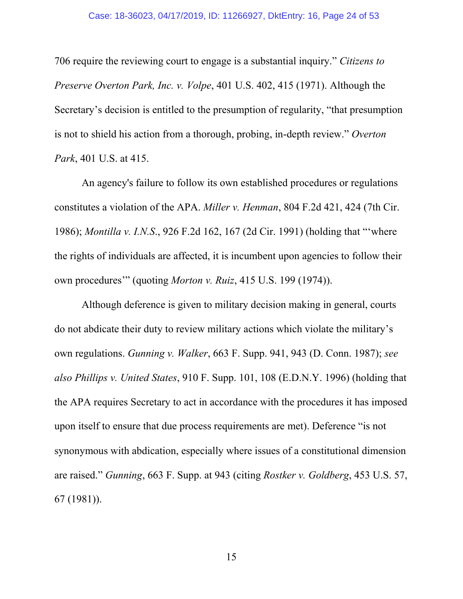706 require the reviewing court to engage is a substantial inquiry." *Citizens to Preserve Overton Park, Inc. v. Volpe*, 401 U.S. 402, 415 (1971). Although the Secretary's decision is entitled to the presumption of regularity, "that presumption is not to shield his action from a thorough, probing, in-depth review." *Overton Park*, 401 U.S. at 415.

An agency's failure to follow its own established procedures or regulations constitutes a violation of the APA. *Miller v. Henman*, 804 F.2d 421, 424 (7th Cir. 1986); *Montilla v. I.N.S*., 926 F.2d 162, 167 (2d Cir. 1991) (holding that "'where the rights of individuals are affected, it is incumbent upon agencies to follow their own procedures'" (quoting *Morton v. Ruiz*, 415 U.S. 199 (1974)).

Although deference is given to military decision making in general, courts do not abdicate their duty to review military actions which violate the military's own regulations. *Gunning v. Walker*, 663 F. Supp. 941, 943 (D. Conn. 1987); *see also Phillips v. United States*, 910 F. Supp. 101, 108 (E.D.N.Y. 1996) (holding that the APA requires Secretary to act in accordance with the procedures it has imposed upon itself to ensure that due process requirements are met). Deference "is not synonymous with abdication, especially where issues of a constitutional dimension are raised." *Gunning*, 663 F. Supp. at 943 (citing *Rostker v. Goldberg*, 453 U.S. 57, 67 (1981)).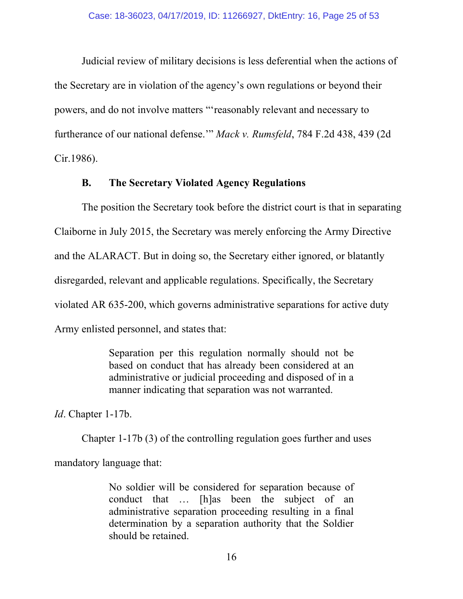Judicial review of military decisions is less deferential when the actions of the Secretary are in violation of the agency's own regulations or beyond their powers, and do not involve matters "'reasonably relevant and necessary to furtherance of our national defense.'" *Mack v. Rumsfeld*, 784 F.2d 438, 439 (2d Cir.1986).

#### **B. The Secretary Violated Agency Regulations**

The position the Secretary took before the district court is that in separating Claiborne in July 2015, the Secretary was merely enforcing the Army Directive and the ALARACT. But in doing so, the Secretary either ignored, or blatantly disregarded, relevant and applicable regulations. Specifically, the Secretary violated AR 635-200, which governs administrative separations for active duty Army enlisted personnel, and states that:

> Separation per this regulation normally should not be based on conduct that has already been considered at an administrative or judicial proceeding and disposed of in a manner indicating that separation was not warranted.

*Id*. Chapter 1-17b.

Chapter 1-17b (3) of the controlling regulation goes further and uses mandatory language that:

> No soldier will be considered for separation because of conduct that … [h]as been the subject of an administrative separation proceeding resulting in a final determination by a separation authority that the Soldier should be retained.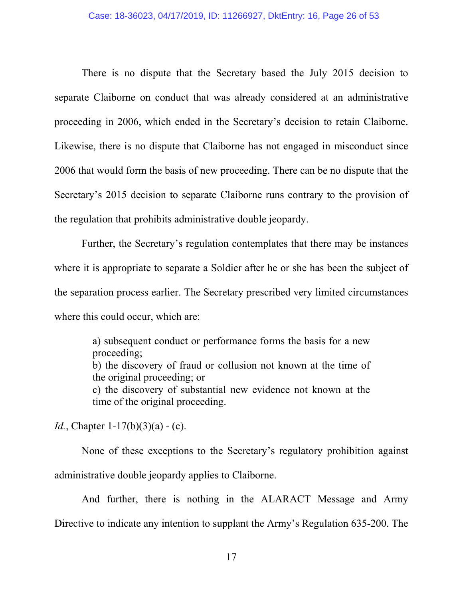There is no dispute that the Secretary based the July 2015 decision to separate Claiborne on conduct that was already considered at an administrative proceeding in 2006, which ended in the Secretary's decision to retain Claiborne. Likewise, there is no dispute that Claiborne has not engaged in misconduct since 2006 that would form the basis of new proceeding. There can be no dispute that the Secretary's 2015 decision to separate Claiborne runs contrary to the provision of the regulation that prohibits administrative double jeopardy.

Further, the Secretary's regulation contemplates that there may be instances where it is appropriate to separate a Soldier after he or she has been the subject of the separation process earlier. The Secretary prescribed very limited circumstances where this could occur, which are:

> a) subsequent conduct or performance forms the basis for a new proceeding; b) the discovery of fraud or collusion not known at the time of the original proceeding; or c) the discovery of substantial new evidence not known at the time of the original proceeding.

*Id.*, Chapter 1-17(b)(3)(a) - (c).

None of these exceptions to the Secretary's regulatory prohibition against administrative double jeopardy applies to Claiborne.

And further, there is nothing in the ALARACT Message and Army Directive to indicate any intention to supplant the Army's Regulation 635-200. The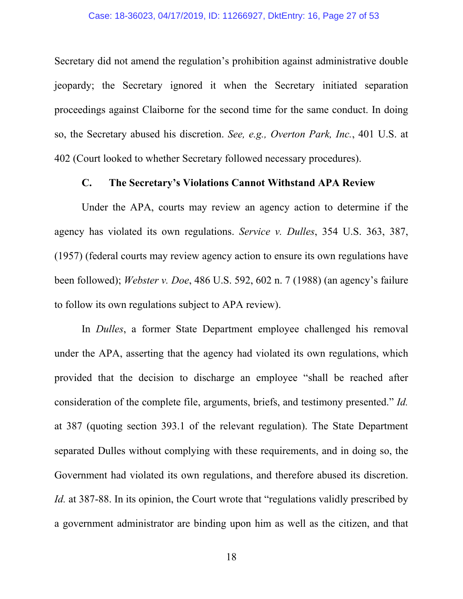Secretary did not amend the regulation's prohibition against administrative double jeopardy; the Secretary ignored it when the Secretary initiated separation proceedings against Claiborne for the second time for the same conduct. In doing so, the Secretary abused his discretion. *See, e.g., Overton Park, Inc.*, 401 U.S. at 402 (Court looked to whether Secretary followed necessary procedures).

#### **C. The Secretary's Violations Cannot Withstand APA Review**

Under the APA, courts may review an agency action to determine if the agency has violated its own regulations. *Service v. Dulles*, 354 U.S. 363, 387, (1957) (federal courts may review agency action to ensure its own regulations have been followed); *Webster v. Doe*, 486 U.S. 592, 602 n. 7 (1988) (an agency's failure to follow its own regulations subject to APA review).

In *Dulles*, a former State Department employee challenged his removal under the APA, asserting that the agency had violated its own regulations, which provided that the decision to discharge an employee "shall be reached after consideration of the complete file, arguments, briefs, and testimony presented." *Id.* at 387 (quoting section 393.1 of the relevant regulation). The State Department separated Dulles without complying with these requirements, and in doing so, the Government had violated its own regulations, and therefore abused its discretion. *Id.* at 387-88. In its opinion, the Court wrote that "regulations validly prescribed by a government administrator are binding upon him as well as the citizen, and that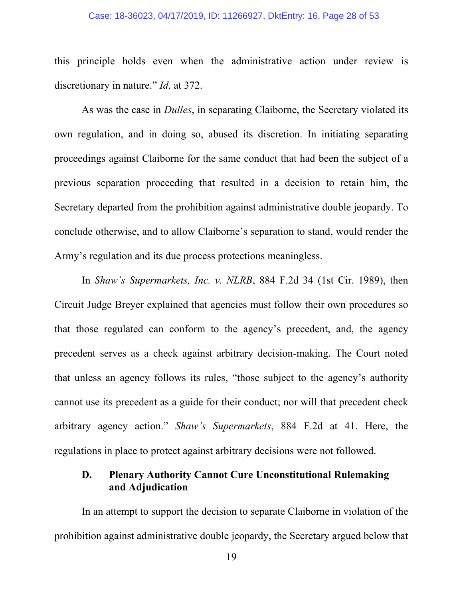#### Case: 18-36023, 04/17/2019, ID: 11266927, DktEntry: 16, Page 28 of 53

this principle holds even when the administrative action under review is discretionary in nature." *Id*. at 372.

As was the case in *Dulles*, in separating Claiborne, the Secretary violated its own regulation, and in doing so, abused its discretion. In initiating separating proceedings against Claiborne for the same conduct that had been the subject of a previous separation proceeding that resulted in a decision to retain him, the Secretary departed from the prohibition against administrative double jeopardy. To conclude otherwise, and to allow Claiborne's separation to stand, would render the Army's regulation and its due process protections meaningless.

In *Shaw's Supermarkets, Inc. v. NLRB*, 884 F.2d 34 (1st Cir. 1989), then Circuit Judge Breyer explained that agencies must follow their own procedures so that those regulated can conform to the agency's precedent, and, the agency precedent serves as a check against arbitrary decision-making. The Court noted that unless an agency follows its rules, "those subject to the agency's authority cannot use its precedent as a guide for their conduct; nor will that precedent check arbitrary agency action." *Shaw's Supermarkets*, 884 F.2d at 41. Here, the regulations in place to protect against arbitrary decisions were not followed.

## **D. Plenary Authority Cannot Cure Unconstitutional Rulemaking and Adjudication**

In an attempt to support the decision to separate Claiborne in violation of the prohibition against administrative double jeopardy, the Secretary argued below that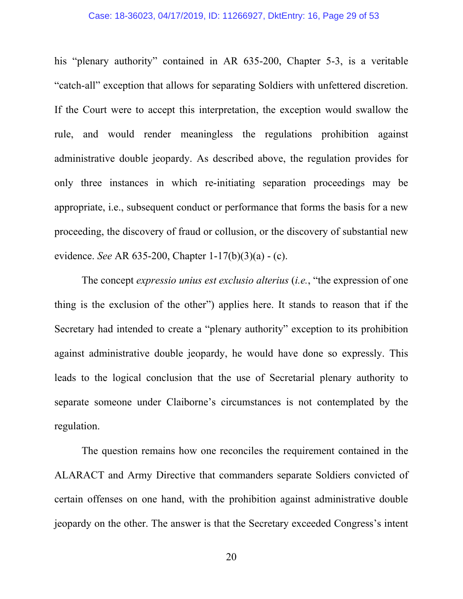his "plenary authority" contained in AR 635-200, Chapter 5-3, is a veritable "catch-all" exception that allows for separating Soldiers with unfettered discretion. If the Court were to accept this interpretation, the exception would swallow the rule, and would render meaningless the regulations prohibition against administrative double jeopardy. As described above, the regulation provides for only three instances in which re-initiating separation proceedings may be appropriate, i.e., subsequent conduct or performance that forms the basis for a new proceeding, the discovery of fraud or collusion, or the discovery of substantial new evidence. *See* AR 635-200, Chapter 1-17(b)(3)(a) - (c).

The concept *expressio unius est exclusio alterius* (*i.e.*, "the expression of one thing is the exclusion of the other") applies here. It stands to reason that if the Secretary had intended to create a "plenary authority" exception to its prohibition against administrative double jeopardy, he would have done so expressly. This leads to the logical conclusion that the use of Secretarial plenary authority to separate someone under Claiborne's circumstances is not contemplated by the regulation.

The question remains how one reconciles the requirement contained in the ALARACT and Army Directive that commanders separate Soldiers convicted of certain offenses on one hand, with the prohibition against administrative double jeopardy on the other. The answer is that the Secretary exceeded Congress's intent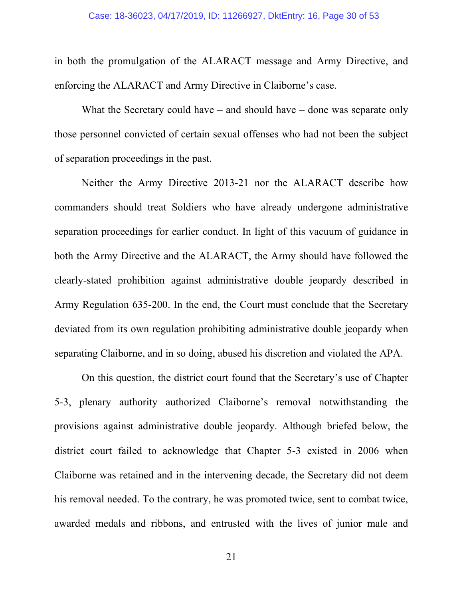in both the promulgation of the ALARACT message and Army Directive, and enforcing the ALARACT and Army Directive in Claiborne's case.

What the Secretary could have – and should have – done was separate only those personnel convicted of certain sexual offenses who had not been the subject of separation proceedings in the past.

Neither the Army Directive 2013-21 nor the ALARACT describe how commanders should treat Soldiers who have already undergone administrative separation proceedings for earlier conduct. In light of this vacuum of guidance in both the Army Directive and the ALARACT, the Army should have followed the clearly-stated prohibition against administrative double jeopardy described in Army Regulation 635-200. In the end, the Court must conclude that the Secretary deviated from its own regulation prohibiting administrative double jeopardy when separating Claiborne, and in so doing, abused his discretion and violated the APA.

On this question, the district court found that the Secretary's use of Chapter 5-3, plenary authority authorized Claiborne's removal notwithstanding the provisions against administrative double jeopardy. Although briefed below, the district court failed to acknowledge that Chapter 5-3 existed in 2006 when Claiborne was retained and in the intervening decade, the Secretary did not deem his removal needed. To the contrary, he was promoted twice, sent to combat twice, awarded medals and ribbons, and entrusted with the lives of junior male and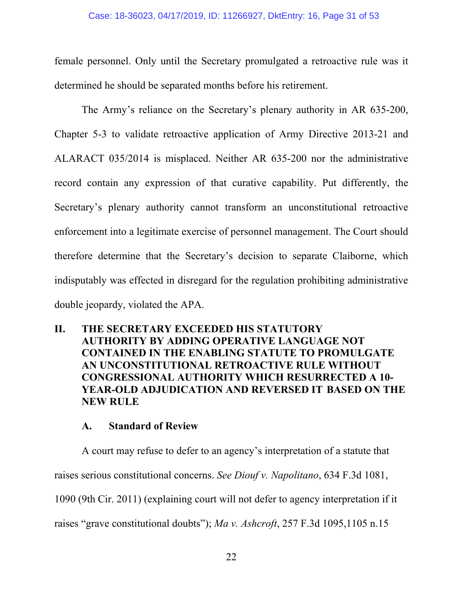female personnel. Only until the Secretary promulgated a retroactive rule was it determined he should be separated months before his retirement.

The Army's reliance on the Secretary's plenary authority in AR 635-200, Chapter 5-3 to validate retroactive application of Army Directive 2013-21 and ALARACT 035/2014 is misplaced. Neither AR 635-200 nor the administrative record contain any expression of that curative capability. Put differently, the Secretary's plenary authority cannot transform an unconstitutional retroactive enforcement into a legitimate exercise of personnel management. The Court should therefore determine that the Secretary's decision to separate Claiborne, which indisputably was effected in disregard for the regulation prohibiting administrative double jeopardy, violated the APA.

**II. THE SECRETARY EXCEEDED HIS STATUTORY AUTHORITY BY ADDING OPERATIVE LANGUAGE NOT CONTAINED IN THE ENABLING STATUTE TO PROMULGATE AN UNCONSTITUTIONAL RETROACTIVE RULE WITHOUT CONGRESSIONAL AUTHORITY WHICH RESURRECTED A 10- YEAR-OLD ADJUDICATION AND REVERSED IT BASED ON THE NEW RULE**

## **A. Standard of Review**

A court may refuse to defer to an agency's interpretation of a statute that raises serious constitutional concerns. *See Diouf v. Napolitano*, 634 F.3d 1081, 1090 (9th Cir. 2011) (explaining court will not defer to agency interpretation if it raises "grave constitutional doubts"); *Ma v. Ashcroft*, 257 F.3d 1095,1105 n.15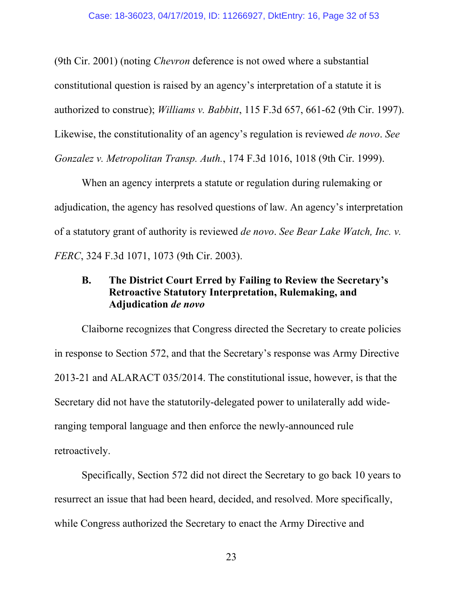(9th Cir. 2001) (noting *Chevron* deference is not owed where a substantial constitutional question is raised by an agency's interpretation of a statute it is authorized to construe); *Williams v. Babbitt*, 115 F.3d 657, 661-62 (9th Cir. 1997). Likewise, the constitutionality of an agency's regulation is reviewed *de novo*. *See Gonzalez v. Metropolitan Transp. Auth.*, 174 F.3d 1016, 1018 (9th Cir. 1999).

When an agency interprets a statute or regulation during rulemaking or adjudication, the agency has resolved questions of law. An agency's interpretation of a statutory grant of authority is reviewed *de novo*. *See Bear Lake Watch, Inc. v. FERC*, 324 F.3d 1071, 1073 (9th Cir. 2003).

## **B. The District Court Erred by Failing to Review the Secretary's Retroactive Statutory Interpretation, Rulemaking, and Adjudication** *de novo*

Claiborne recognizes that Congress directed the Secretary to create policies in response to Section 572, and that the Secretary's response was Army Directive 2013-21 and ALARACT 035/2014. The constitutional issue, however, is that the Secretary did not have the statutorily-delegated power to unilaterally add wideranging temporal language and then enforce the newly-announced rule retroactively.

Specifically, Section 572 did not direct the Secretary to go back 10 years to resurrect an issue that had been heard, decided, and resolved. More specifically, while Congress authorized the Secretary to enact the Army Directive and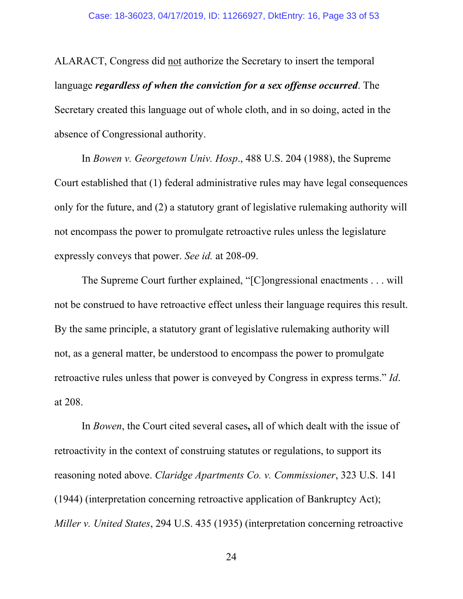ALARACT, Congress did not authorize the Secretary to insert the temporal language *regardless of when the conviction for a sex offense occurred*. The Secretary created this language out of whole cloth, and in so doing, acted in the absence of Congressional authority.

In *Bowen v. Georgetown Univ. Hosp*., 488 U.S. 204 (1988), the Supreme Court established that (1) federal administrative rules may have legal consequences only for the future, and (2) a statutory grant of legislative rulemaking authority will not encompass the power to promulgate retroactive rules unless the legislature expressly conveys that power. *See id.* at 208-09.

The Supreme Court further explained, "[C]ongressional enactments . . . will not be construed to have retroactive effect unless their language requires this result. By the same principle, a statutory grant of legislative rulemaking authority will not, as a general matter, be understood to encompass the power to promulgate retroactive rules unless that power is conveyed by Congress in express terms." *Id*. at 208.

In *Bowen*, the Court cited several cases**,** all of which dealt with the issue of retroactivity in the context of construing statutes or regulations, to support its reasoning noted above. *Claridge Apartments Co. v. Commissioner*, 323 U.S. 141 (1944) (interpretation concerning retroactive application of Bankruptcy Act); *Miller v. United States*, 294 U.S. 435 (1935) (interpretation concerning retroactive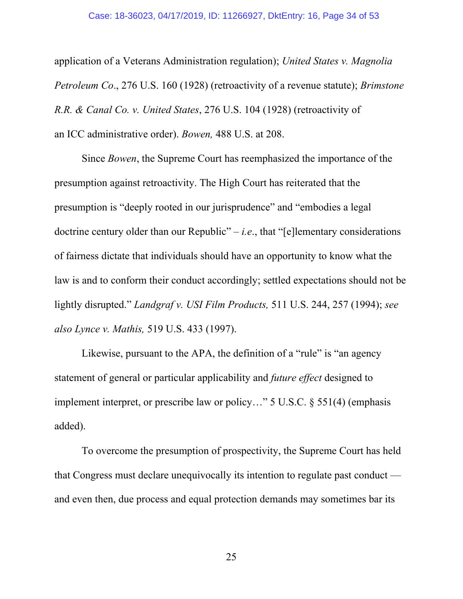application of a Veterans Administration regulation); *United States v. Magnolia Petroleum Co*., 276 U.S. 160 (1928) (retroactivity of a revenue statute); *Brimstone R.R. & Canal Co. v. United States*, 276 U.S. 104 (1928) (retroactivity of an ICC administrative order). *Bowen,* 488 U.S. at 208.

Since *Bowen*, the Supreme Court has reemphasized the importance of the presumption against retroactivity. The High Court has reiterated that the presumption is "deeply rooted in our jurisprudence" and "embodies a legal doctrine century older than our Republic" – *i.e*., that "[e]lementary considerations of fairness dictate that individuals should have an opportunity to know what the law is and to conform their conduct accordingly; settled expectations should not be lightly disrupted." *Landgraf v. USI Film Products,* 511 U.S. 244, 257 (1994); *see also Lynce v. Mathis,* 519 U.S. 433 (1997).

Likewise, pursuant to the APA, the definition of a "rule" is "an agency statement of general or particular applicability and *future effect* designed to implement interpret, or prescribe law or policy…" 5 U.S.C. § 551(4) (emphasis added).

To overcome the presumption of prospectivity, the Supreme Court has held that Congress must declare unequivocally its intention to regulate past conduct and even then, due process and equal protection demands may sometimes bar its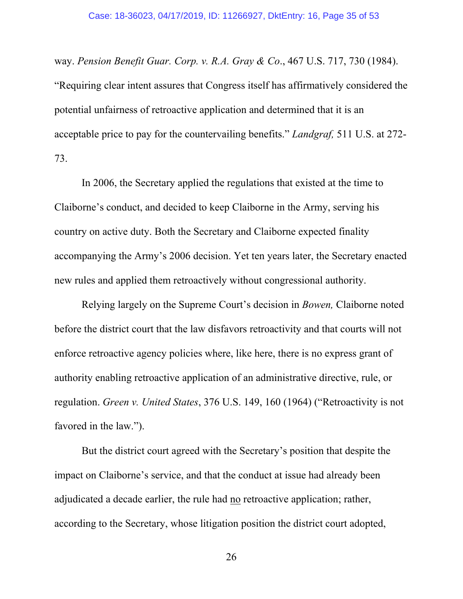way. *Pension Benefit Guar. Corp. v. R.A. Gray & Co*., 467 U.S. 717, 730 (1984). "Requiring clear intent assures that Congress itself has affirmatively considered the potential unfairness of retroactive application and determined that it is an acceptable price to pay for the countervailing benefits." *Landgraf,* 511 U.S. at 272- 73.

In 2006, the Secretary applied the regulations that existed at the time to Claiborne's conduct, and decided to keep Claiborne in the Army, serving his country on active duty. Both the Secretary and Claiborne expected finality accompanying the Army's 2006 decision. Yet ten years later, the Secretary enacted new rules and applied them retroactively without congressional authority.

Relying largely on the Supreme Court's decision in *Bowen,* Claiborne noted before the district court that the law disfavors retroactivity and that courts will not enforce retroactive agency policies where, like here, there is no express grant of authority enabling retroactive application of an administrative directive, rule, or regulation. *Green v. United States*, 376 U.S. 149, 160 (1964) ("Retroactivity is not favored in the law.").

But the district court agreed with the Secretary's position that despite the impact on Claiborne's service, and that the conduct at issue had already been adjudicated a decade earlier, the rule had no retroactive application; rather, according to the Secretary, whose litigation position the district court adopted,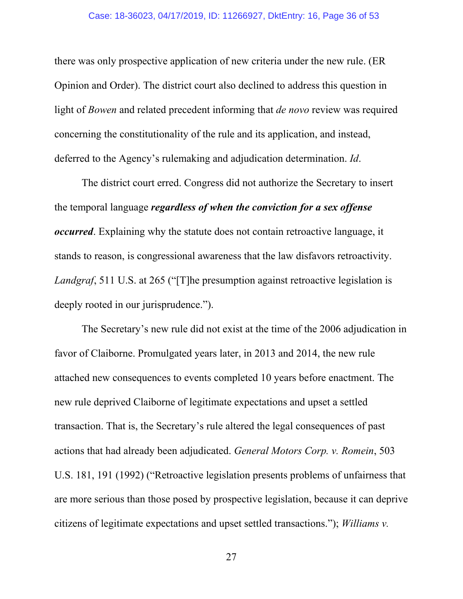there was only prospective application of new criteria under the new rule. (ER Opinion and Order). The district court also declined to address this question in light of *Bowen* and related precedent informing that *de novo* review was required concerning the constitutionality of the rule and its application, and instead, deferred to the Agency's rulemaking and adjudication determination. *Id*.

The district court erred. Congress did not authorize the Secretary to insert the temporal language *regardless of when the conviction for a sex offense occurred*. Explaining why the statute does not contain retroactive language, it stands to reason, is congressional awareness that the law disfavors retroactivity. *Landgraf*, 511 U.S. at 265 ("[T]he presumption against retroactive legislation is deeply rooted in our jurisprudence.").

The Secretary's new rule did not exist at the time of the 2006 adjudication in favor of Claiborne. Promulgated years later, in 2013 and 2014, the new rule attached new consequences to events completed 10 years before enactment. The new rule deprived Claiborne of legitimate expectations and upset a settled transaction. That is, the Secretary's rule altered the legal consequences of past actions that had already been adjudicated. *General Motors Corp. v. Romein*, 503 U.S. 181, 191 (1992) ("Retroactive legislation presents problems of unfairness that are more serious than those posed by prospective legislation, because it can deprive citizens of legitimate expectations and upset settled transactions."); *Williams v.*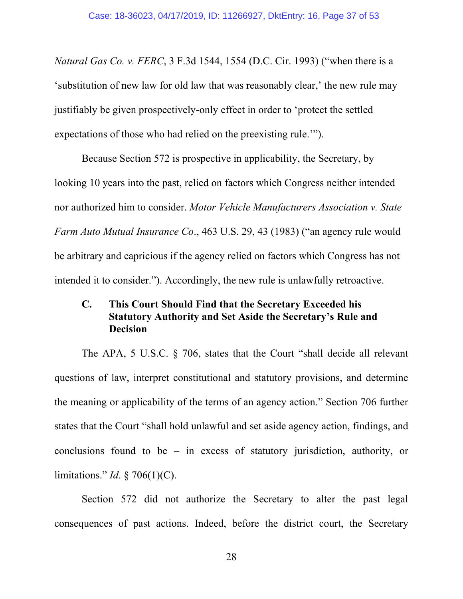*Natural Gas Co. v. FERC*, 3 F.3d 1544, 1554 (D.C. Cir. 1993) ("when there is a 'substitution of new law for old law that was reasonably clear,' the new rule may justifiably be given prospectively-only effect in order to 'protect the settled expectations of those who had relied on the preexisting rule.'").

Because Section 572 is prospective in applicability, the Secretary, by looking 10 years into the past, relied on factors which Congress neither intended nor authorized him to consider. *Motor Vehicle Manufacturers Association v. State Farm Auto Mutual Insurance Co*., 463 U.S. 29, 43 (1983) ("an agency rule would be arbitrary and capricious if the agency relied on factors which Congress has not intended it to consider."). Accordingly, the new rule is unlawfully retroactive.

## **C. This Court Should Find that the Secretary Exceeded his Statutory Authority and Set Aside the Secretary's Rule and Decision**

The APA, 5 U.S.C. § 706, states that the Court "shall decide all relevant questions of law, interpret constitutional and statutory provisions, and determine the meaning or applicability of the terms of an agency action." Section 706 further states that the Court "shall hold unlawful and set aside agency action, findings, and conclusions found to be – in excess of statutory jurisdiction, authority, or limitations." *Id*. § 706(1)(C).

Section 572 did not authorize the Secretary to alter the past legal consequences of past actions. Indeed, before the district court, the Secretary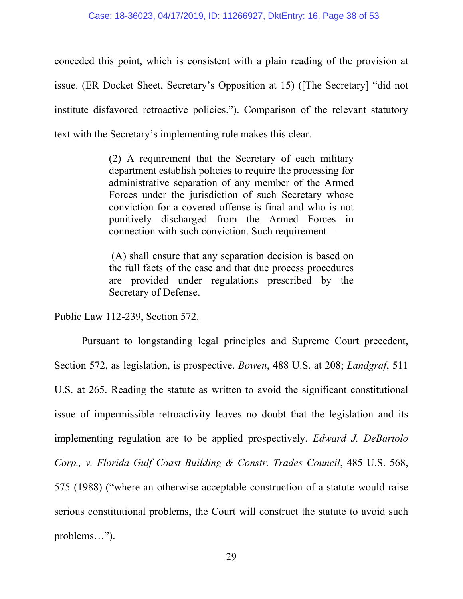conceded this point, which is consistent with a plain reading of the provision at issue. (ER Docket Sheet, Secretary's Opposition at 15) ([The Secretary] "did not institute disfavored retroactive policies."). Comparison of the relevant statutory text with the Secretary's implementing rule makes this clear.

> (2) A requirement that the Secretary of each military department establish policies to require the processing for administrative separation of any member of the Armed Forces under the jurisdiction of such Secretary whose conviction for a covered offense is final and who is not punitively discharged from the Armed Forces in connection with such conviction. Such requirement—

> (A) shall ensure that any separation decision is based on the full facts of the case and that due process procedures are provided under regulations prescribed by the Secretary of Defense.

Public Law 112-239, Section 572.

Pursuant to longstanding legal principles and Supreme Court precedent, Section 572, as legislation, is prospective. *Bowen*, 488 U.S. at 208; *Landgraf*, 511 U.S. at 265. Reading the statute as written to avoid the significant constitutional issue of impermissible retroactivity leaves no doubt that the legislation and its implementing regulation are to be applied prospectively. *Edward J. DeBartolo Corp., v. Florida Gulf Coast Building & Constr. Trades Council*, 485 U.S. 568, 575 (1988) ("where an otherwise acceptable construction of a statute would raise serious constitutional problems, the Court will construct the statute to avoid such problems…").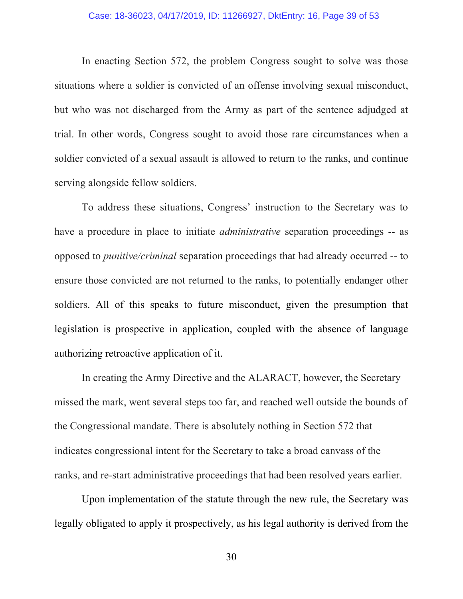In enacting Section 572, the problem Congress sought to solve was those situations where a soldier is convicted of an offense involving sexual misconduct, but who was not discharged from the Army as part of the sentence adjudged at trial. In other words, Congress sought to avoid those rare circumstances when a soldier convicted of a sexual assault is allowed to return to the ranks, and continue serving alongside fellow soldiers.

To address these situations, Congress' instruction to the Secretary was to have a procedure in place to initiate *administrative* separation proceedings -- as opposed to *punitive/criminal* separation proceedings that had already occurred -- to ensure those convicted are not returned to the ranks, to potentially endanger other soldiers. All of this speaks to future misconduct, given the presumption that legislation is prospective in application, coupled with the absence of language authorizing retroactive application of it.

In creating the Army Directive and the ALARACT, however, the Secretary missed the mark, went several steps too far, and reached well outside the bounds of the Congressional mandate. There is absolutely nothing in Section 572 that indicates congressional intent for the Secretary to take a broad canvass of the ranks, and re-start administrative proceedings that had been resolved years earlier.

Upon implementation of the statute through the new rule, the Secretary was legally obligated to apply it prospectively, as his legal authority is derived from the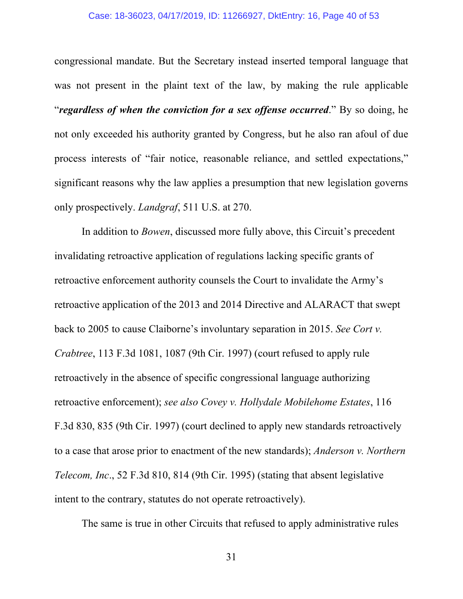congressional mandate. But the Secretary instead inserted temporal language that was not present in the plaint text of the law, by making the rule applicable "*regardless of when the conviction for a sex offense occurred*." By so doing, he not only exceeded his authority granted by Congress, but he also ran afoul of due process interests of "fair notice, reasonable reliance, and settled expectations," significant reasons why the law applies a presumption that new legislation governs only prospectively. *Landgraf*, 511 U.S. at 270.

In addition to *Bowen*, discussed more fully above, this Circuit's precedent invalidating retroactive application of regulations lacking specific grants of retroactive enforcement authority counsels the Court to invalidate the Army's retroactive application of the 2013 and 2014 Directive and ALARACT that swept back to 2005 to cause Claiborne's involuntary separation in 2015. *See Cort v. Crabtree*, 113 F.3d 1081, 1087 (9th Cir. 1997) (court refused to apply rule retroactively in the absence of specific congressional language authorizing retroactive enforcement); *see also Covey v. Hollydale Mobilehome Estates*, 116 F.3d 830, 835 (9th Cir. 1997) (court declined to apply new standards retroactively to a case that arose prior to enactment of the new standards); *Anderson v. Northern Telecom, Inc*., 52 F.3d 810, 814 (9th Cir. 1995) (stating that absent legislative intent to the contrary, statutes do not operate retroactively).

The same is true in other Circuits that refused to apply administrative rules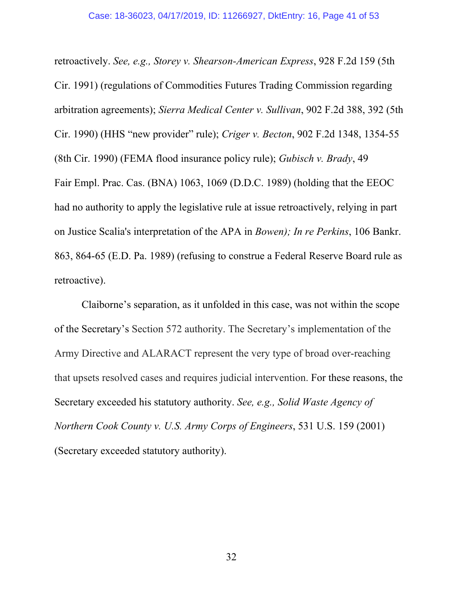retroactively. *See, e.g., Storey v. Shearson-American Express*, 928 F.2d 159 (5th Cir. 1991) (regulations of Commodities Futures Trading Commission regarding arbitration agreements); *Sierra Medical Center v. Sullivan*, 902 F.2d 388, 392 (5th Cir. 1990) (HHS "new provider" rule); *Criger v. Becton*, 902 F.2d 1348, 1354-55 (8th Cir. 1990) (FEMA flood insurance policy rule); *Gubisch v. Brady*, 49 Fair Empl. Prac. Cas. (BNA) 1063, 1069 (D.D.C. 1989) (holding that the EEOC had no authority to apply the legislative rule at issue retroactively, relying in part on Justice Scalia's interpretation of the APA in *Bowen); In re Perkins*, 106 Bankr. 863, 864-65 (E.D. Pa. 1989) (refusing to construe a Federal Reserve Board rule as retroactive).

Claiborne's separation, as it unfolded in this case, was not within the scope of the Secretary's Section 572 authority. The Secretary's implementation of the Army Directive and ALARACT represent the very type of broad over-reaching that upsets resolved cases and requires judicial intervention. For these reasons, the Secretary exceeded his statutory authority. *See, e.g., Solid Waste Agency of Northern Cook County v. U.S. Army Corps of Engineers*, 531 U.S. 159 (2001) (Secretary exceeded statutory authority).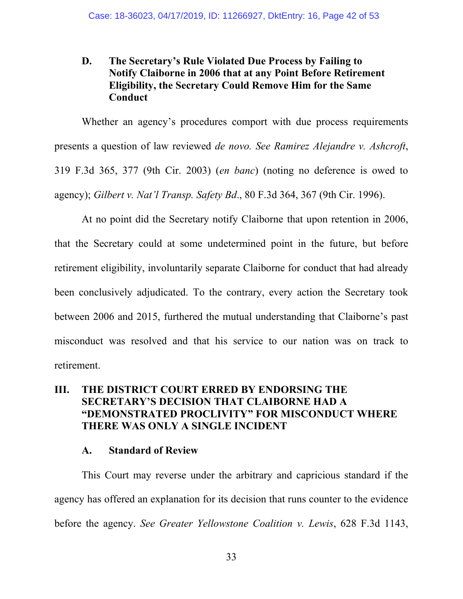## **D. The Secretary's Rule Violated Due Process by Failing to Notify Claiborne in 2006 that at any Point Before Retirement Eligibility, the Secretary Could Remove Him for the Same Conduct**

Whether an agency's procedures comport with due process requirements presents a question of law reviewed *de novo. See Ramirez Alejandre v. Ashcroft*, 319 F.3d 365, 377 (9th Cir. 2003) (*en banc*) (noting no deference is owed to agency); *Gilbert v. Nat'l Transp. Safety Bd*., 80 F.3d 364, 367 (9th Cir. 1996).

At no point did the Secretary notify Claiborne that upon retention in 2006, that the Secretary could at some undetermined point in the future, but before retirement eligibility, involuntarily separate Claiborne for conduct that had already been conclusively adjudicated. To the contrary, every action the Secretary took between 2006 and 2015, furthered the mutual understanding that Claiborne's past misconduct was resolved and that his service to our nation was on track to retirement.

## **III. THE DISTRICT COURT ERRED BY ENDORSING THE SECRETARY'S DECISION THAT CLAIBORNE HAD A "DEMONSTRATED PROCLIVITY" FOR MISCONDUCT WHERE THERE WAS ONLY A SINGLE INCIDENT**

#### **A. Standard of Review**

This Court may reverse under the arbitrary and capricious standard if the agency has offered an explanation for its decision that runs counter to the evidence before the agency. *See Greater Yellowstone Coalition v. Lewis*, 628 F.3d 1143,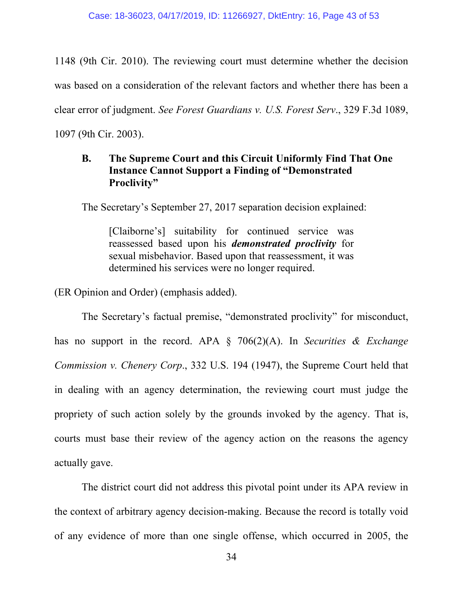1148 (9th Cir. 2010). The reviewing court must determine whether the decision was based on a consideration of the relevant factors and whether there has been a clear error of judgment. *See Forest Guardians v. U.S. Forest Serv*., 329 F.3d 1089, 1097 (9th Cir. 2003).

## **B. The Supreme Court and this Circuit Uniformly Find That One Instance Cannot Support a Finding of "Demonstrated Proclivity"**

The Secretary's September 27, 2017 separation decision explained:

[Claiborne's] suitability for continued service was reassessed based upon his *demonstrated proclivity* for sexual misbehavior. Based upon that reassessment, it was determined his services were no longer required.

(ER Opinion and Order) (emphasis added).

The Secretary's factual premise, "demonstrated proclivity" for misconduct, has no support in the record. APA § 706(2)(A). In *Securities & Exchange Commission v. Chenery Corp*., 332 U.S. 194 (1947), the Supreme Court held that in dealing with an agency determination, the reviewing court must judge the propriety of such action solely by the grounds invoked by the agency. That is, courts must base their review of the agency action on the reasons the agency actually gave.

The district court did not address this pivotal point under its APA review in the context of arbitrary agency decision-making. Because the record is totally void of any evidence of more than one single offense, which occurred in 2005, the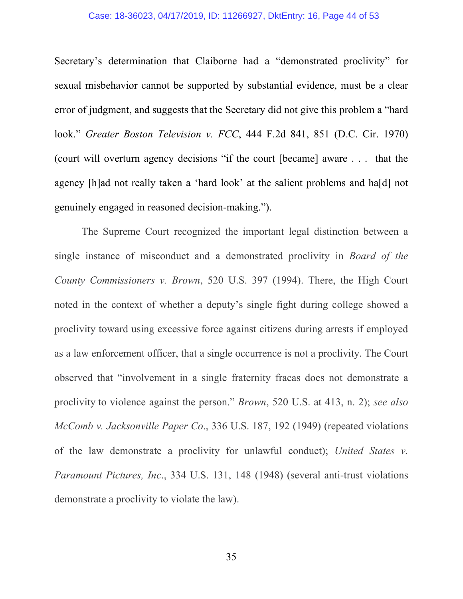#### Case: 18-36023, 04/17/2019, ID: 11266927, DktEntry: 16, Page 44 of 53

Secretary's determination that Claiborne had a "demonstrated proclivity" for sexual misbehavior cannot be supported by substantial evidence, must be a clear error of judgment, and suggests that the Secretary did not give this problem a "hard look." *Greater Boston Television v. FCC*, 444 F.2d 841, 851 (D.C. Cir. 1970) (court will overturn agency decisions "if the court [became] aware . . . that the agency [h]ad not really taken a 'hard look' at the salient problems and ha[d] not genuinely engaged in reasoned decision-making.").

The Supreme Court recognized the important legal distinction between a single instance of misconduct and a demonstrated proclivity in *Board of the County Commissioners v. Brown*, 520 U.S. 397 (1994). There, the High Court noted in the context of whether a deputy's single fight during college showed a proclivity toward using excessive force against citizens during arrests if employed as a law enforcement officer, that a single occurrence is not a proclivity. The Court observed that "involvement in a single fraternity fracas does not demonstrate a proclivity to violence against the person." *Brown*, 520 U.S. at 413, n. 2); *see also McComb v. Jacksonville Paper Co*., 336 U.S. 187, 192 (1949) (repeated violations of the law demonstrate a proclivity for unlawful conduct); *United States v. Paramount Pictures, Inc*., 334 U.S. 131, 148 (1948) (several anti-trust violations demonstrate a proclivity to violate the law).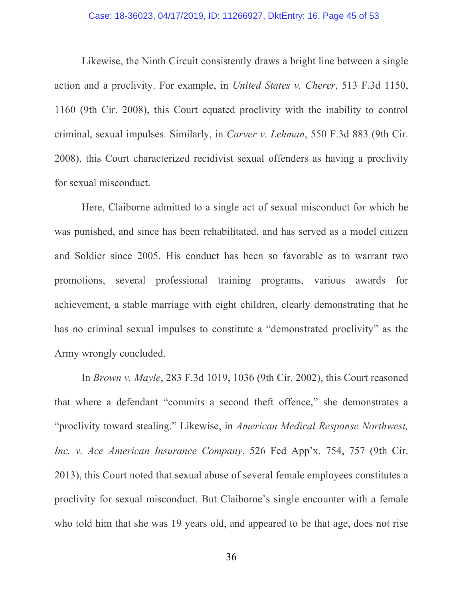Likewise, the Ninth Circuit consistently draws a bright line between a single action and a proclivity. For example, in *United States v. Cherer*, 513 F.3d 1150, 1160 (9th Cir. 2008), this Court equated proclivity with the inability to control criminal, sexual impulses. Similarly, in *Carver v. Lehman*, 550 F.3d 883 (9th Cir. 2008), this Court characterized recidivist sexual offenders as having a proclivity for sexual misconduct.

Here, Claiborne admitted to a single act of sexual misconduct for which he was punished, and since has been rehabilitated, and has served as a model citizen and Soldier since 2005. His conduct has been so favorable as to warrant two promotions, several professional training programs, various awards for achievement, a stable marriage with eight children, clearly demonstrating that he has no criminal sexual impulses to constitute a "demonstrated proclivity" as the Army wrongly concluded.

In *Brown v. Mayle*, 283 F.3d 1019, 1036 (9th Cir. 2002), this Court reasoned that where a defendant "commits a second theft offence," she demonstrates a "proclivity toward stealing." Likewise, in *American Medical Response Northwest, Inc. v. Ace American Insurance Company*, 526 Fed App'x. 754, 757 (9th Cir. 2013), this Court noted that sexual abuse of several female employees constitutes a proclivity for sexual misconduct. But Claiborne's single encounter with a female who told him that she was 19 years old, and appeared to be that age, does not rise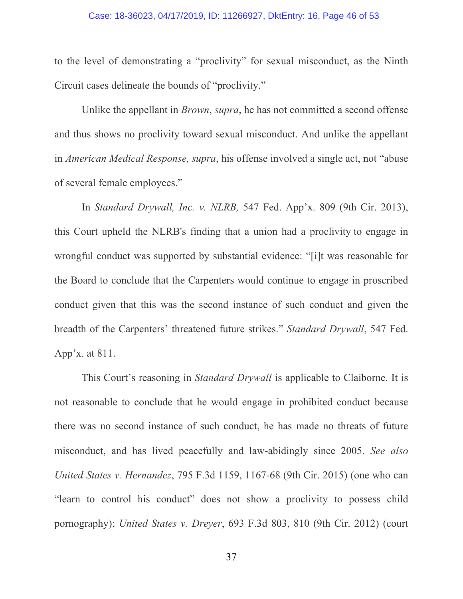#### Case: 18-36023, 04/17/2019, ID: 11266927, DktEntry: 16, Page 46 of 53

to the level of demonstrating a "proclivity" for sexual misconduct, as the Ninth Circuit cases delineate the bounds of "proclivity."

Unlike the appellant in *Brown*, *supra*, he has not committed a second offense and thus shows no proclivity toward sexual misconduct. And unlike the appellant in *American Medical Response, supra*, his offense involved a single act, not "abuse of several female employees."

In *Standard Drywall, Inc. v. NLRB,* 547 Fed. App'x. 809 (9th Cir. 2013), this Court upheld the NLRB's finding that a union had a proclivity to engage in wrongful conduct was supported by substantial evidence: "[i]t was reasonable for the Board to conclude that the Carpenters would continue to engage in proscribed conduct given that this was the second instance of such conduct and given the breadth of the Carpenters' threatened future strikes." *Standard Drywall*, 547 Fed. App'x. at 811.

This Court's reasoning in *Standard Drywall* is applicable to Claiborne. It is not reasonable to conclude that he would engage in prohibited conduct because there was no second instance of such conduct, he has made no threats of future misconduct, and has lived peacefully and law-abidingly since 2005. *See also United States v. Hernandez*, 795 F.3d 1159, 1167-68 (9th Cir. 2015) (one who can "learn to control his conduct" does not show a proclivity to possess child pornography); *United States v. Dreyer*, 693 F.3d 803, 810 (9th Cir. 2012) (court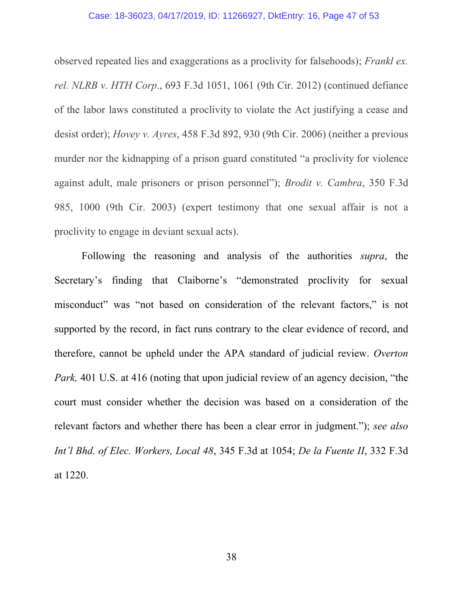#### Case: 18-36023, 04/17/2019, ID: 11266927, DktEntry: 16, Page 47 of 53

observed repeated lies and exaggerations as a proclivity for falsehoods); *Frankl ex. rel. NLRB v. HTH Corp*., 693 F.3d 1051, 1061 (9th Cir. 2012) (continued defiance of the labor laws constituted a proclivity to violate the Act justifying a cease and desist order); *Hovey v. Ayres*, 458 F.3d 892, 930 (9th Cir. 2006) (neither a previous murder nor the kidnapping of a prison guard constituted "a proclivity for violence against adult, male prisoners or prison personnel"); *Brodit v. Cambra*, 350 F.3d 985, 1000 (9th Cir. 2003) (expert testimony that one sexual affair is not a proclivity to engage in deviant sexual acts).

Following the reasoning and analysis of the authorities *supra*, the Secretary's finding that Claiborne's "demonstrated proclivity for sexual misconduct" was "not based on consideration of the relevant factors," is not supported by the record, in fact runs contrary to the clear evidence of record, and therefore, cannot be upheld under the APA standard of judicial review. *Overton Park,* 401 U.S. at 416 (noting that upon judicial review of an agency decision, "the court must consider whether the decision was based on a consideration of the relevant factors and whether there has been a clear error in judgment."); *see also Int'l Bhd. of Elec. Workers, Local 48*, 345 F.3d at 1054; *De la Fuente II*, 332 F.3d at 1220.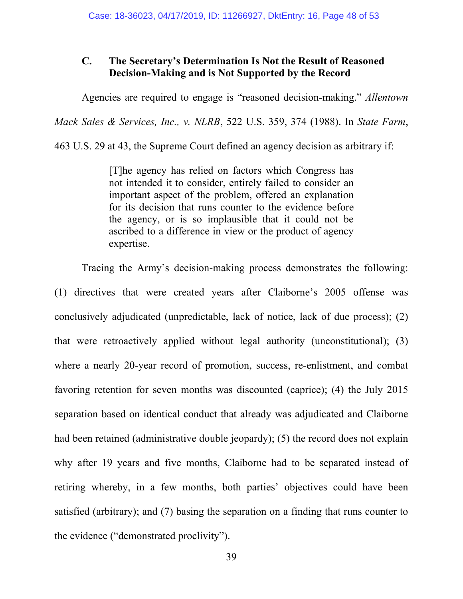## **C. The Secretary's Determination Is Not the Result of Reasoned Decision-Making and is Not Supported by the Record**

Agencies are required to engage is "reasoned decision-making." *Allentown* 

*Mack Sales & Services, Inc., v. NLRB*, 522 U.S. 359, 374 (1988). In *State Farm*,

463 U.S. 29 at 43, the Supreme Court defined an agency decision as arbitrary if:

[T]he agency has relied on factors which Congress has not intended it to consider, entirely failed to consider an important aspect of the problem, offered an explanation for its decision that runs counter to the evidence before the agency, or is so implausible that it could not be ascribed to a difference in view or the product of agency expertise.

Tracing the Army's decision-making process demonstrates the following: (1) directives that were created years after Claiborne's 2005 offense was conclusively adjudicated (unpredictable, lack of notice, lack of due process); (2) that were retroactively applied without legal authority (unconstitutional); (3) where a nearly 20-year record of promotion, success, re-enlistment, and combat favoring retention for seven months was discounted (caprice); (4) the July 2015 separation based on identical conduct that already was adjudicated and Claiborne had been retained (administrative double jeopardy); (5) the record does not explain why after 19 years and five months, Claiborne had to be separated instead of retiring whereby, in a few months, both parties' objectives could have been satisfied (arbitrary); and (7) basing the separation on a finding that runs counter to the evidence ("demonstrated proclivity").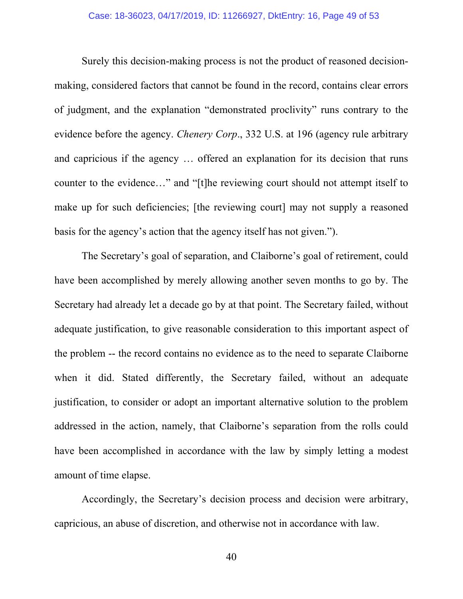Surely this decision-making process is not the product of reasoned decisionmaking, considered factors that cannot be found in the record, contains clear errors of judgment, and the explanation "demonstrated proclivity" runs contrary to the evidence before the agency. *Chenery Corp*., 332 U.S. at 196 (agency rule arbitrary and capricious if the agency … offered an explanation for its decision that runs counter to the evidence…" and "[t]he reviewing court should not attempt itself to make up for such deficiencies; [the reviewing court] may not supply a reasoned basis for the agency's action that the agency itself has not given.").

The Secretary's goal of separation, and Claiborne's goal of retirement, could have been accomplished by merely allowing another seven months to go by. The Secretary had already let a decade go by at that point. The Secretary failed, without adequate justification, to give reasonable consideration to this important aspect of the problem -- the record contains no evidence as to the need to separate Claiborne when it did. Stated differently, the Secretary failed, without an adequate justification, to consider or adopt an important alternative solution to the problem addressed in the action, namely, that Claiborne's separation from the rolls could have been accomplished in accordance with the law by simply letting a modest amount of time elapse.

Accordingly, the Secretary's decision process and decision were arbitrary, capricious, an abuse of discretion, and otherwise not in accordance with law.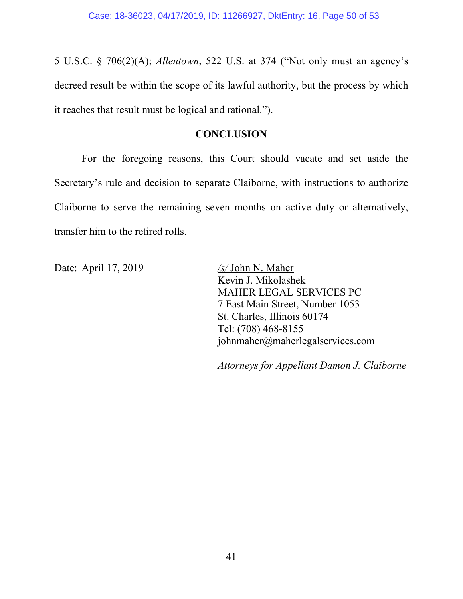5 U.S.C. § 706(2)(A); *Allentown*, 522 U.S. at 374 ("Not only must an agency's decreed result be within the scope of its lawful authority, but the process by which it reaches that result must be logical and rational.").

#### **CONCLUSION**

For the foregoing reasons, this Court should vacate and set aside the Secretary's rule and decision to separate Claiborne, with instructions to authorize Claiborne to serve the remaining seven months on active duty or alternatively, transfer him to the retired rolls.

Date: April 17, 2019 */s/* John N. Maher

Kevin J. Mikolashek MAHER LEGAL SERVICES PC 7 East Main Street, Number 1053 St. Charles, Illinois 60174 Tel: (708) 468-8155 johnmaher@maherlegalservices.com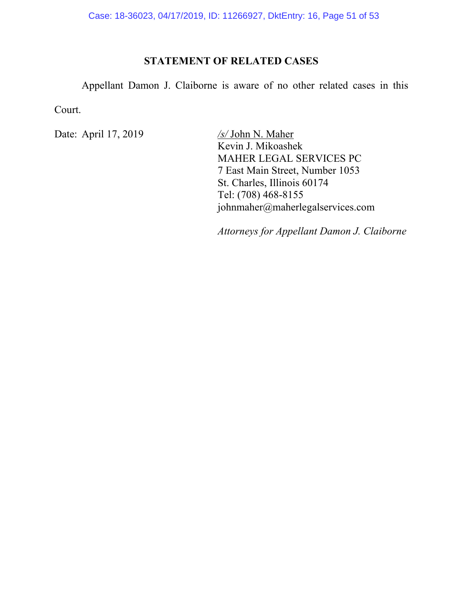## **STATEMENT OF RELATED CASES**

Appellant Damon J. Claiborne is aware of no other related cases in this Court.

Date: April 17, 2019 */s/* John N. Maher

Kevin J. Mikoashek MAHER LEGAL SERVICES PC 7 East Main Street, Number 1053 St. Charles, Illinois 60174 Tel: (708) 468-8155 johnmaher@maherlegalservices.com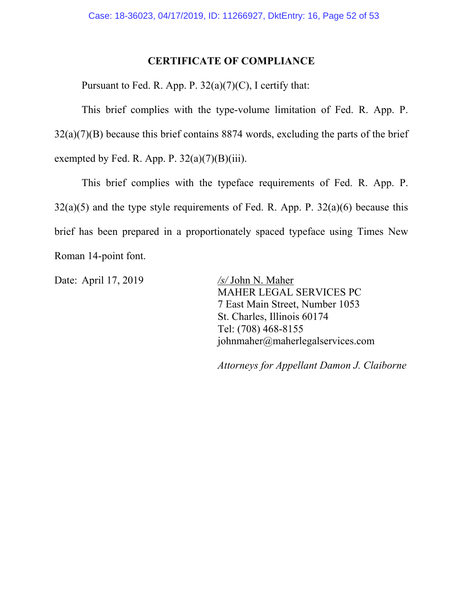#### **CERTIFICATE OF COMPLIANCE**

Pursuant to Fed. R. App. P.  $32(a)(7)(C)$ , I certify that:

This brief complies with the type-volume limitation of Fed. R. App. P.  $32(a)(7)(B)$  because this brief contains 8874 words, excluding the parts of the brief exempted by Fed. R. App. P.  $32(a)(7)(B)(iii)$ .

This brief complies with the typeface requirements of Fed. R. App. P.  $32(a)(5)$  and the type style requirements of Fed. R. App. P.  $32(a)(6)$  because this brief has been prepared in a proportionately spaced typeface using Times New Roman 14-point font.

Date: April 17, 2019 */s/* John N. Maher

MAHER LEGAL SERVICES PC 7 East Main Street, Number 1053 St. Charles, Illinois 60174 Tel: (708) 468-8155 johnmaher@maherlegalservices.com